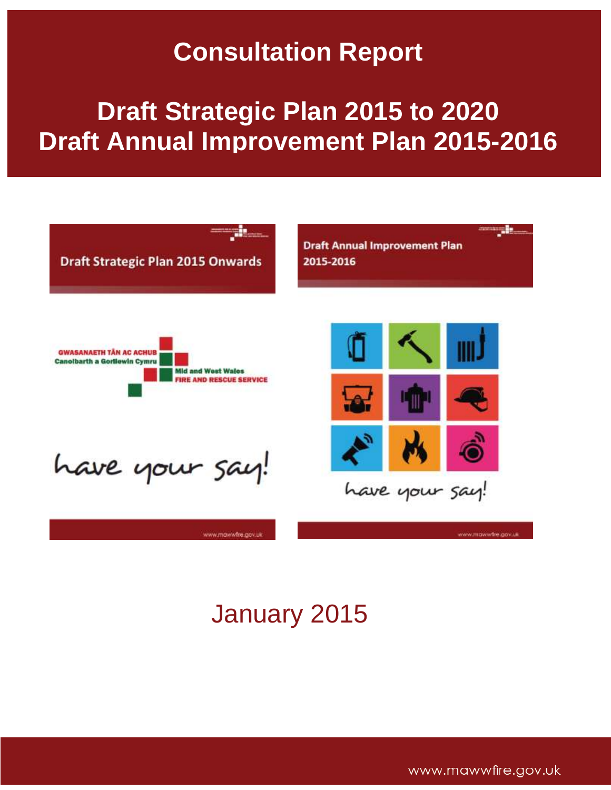# **Consultation Report**

# **Draft Strategic Plan 2015 to 2020 Draft Annual Improvement Plan 2015-2016**



# January 2015

www.mawwfire.gov.uk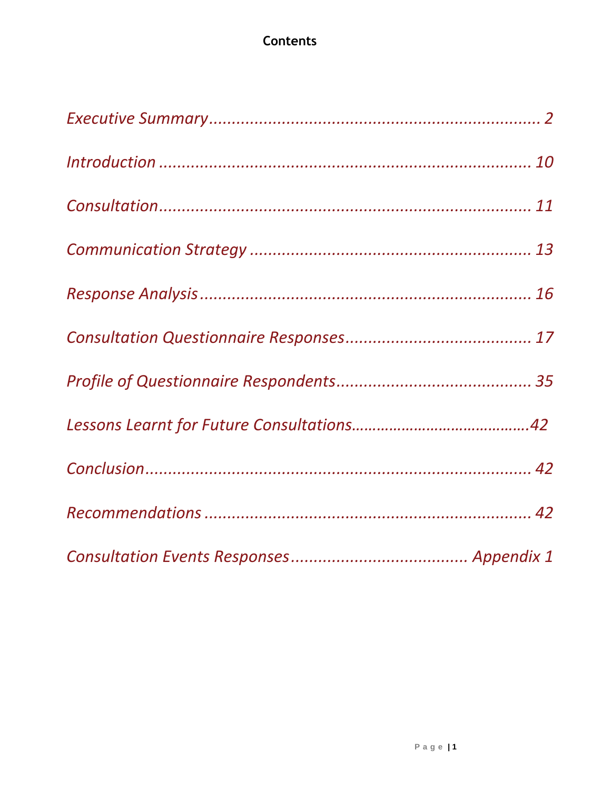## **Contents**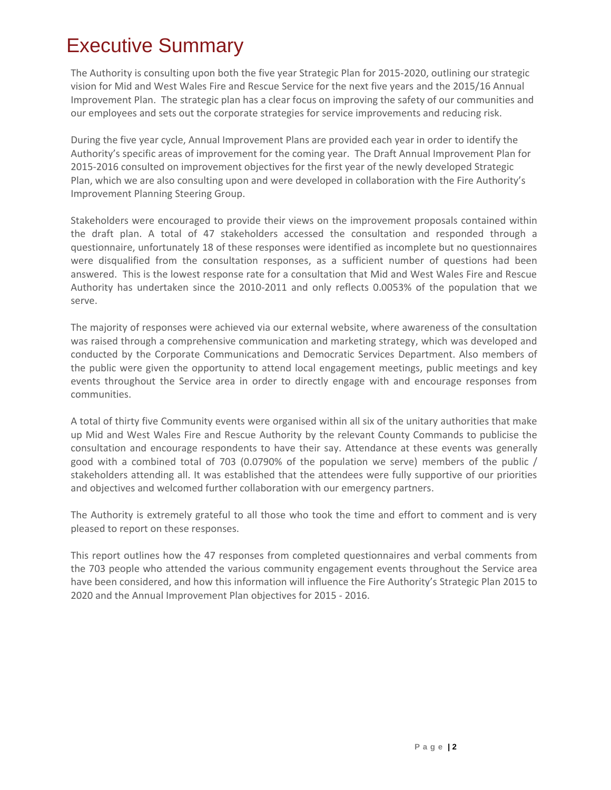## <span id="page-2-0"></span>Executive Summary

The Authority is consulting upon both the five year Strategic Plan for 2015-2020, outlining our strategic vision for Mid and West Wales Fire and Rescue Service for the next five years and the 2015/16 Annual Improvement Plan. The strategic plan has a clear focus on improving the safety of our communities and our employees and sets out the corporate strategies for service improvements and reducing risk.

During the five year cycle, Annual Improvement Plans are provided each year in order to identify the Authority's specific areas of improvement for the coming year. The Draft Annual Improvement Plan for 2015-2016 consulted on improvement objectives for the first year of the newly developed Strategic Plan, which we are also consulting upon and were developed in collaboration with the Fire Authority's Improvement Planning Steering Group.

Stakeholders were encouraged to provide their views on the improvement proposals contained within the draft plan. A total of 47 stakeholders accessed the consultation and responded through a questionnaire, unfortunately 18 of these responses were identified as incomplete but no questionnaires were disqualified from the consultation responses, as a sufficient number of questions had been answered. This is the lowest response rate for a consultation that Mid and West Wales Fire and Rescue Authority has undertaken since the 2010-2011 and only reflects 0.0053% of the population that we serve.

The majority of responses were achieved via our external website, where awareness of the consultation was raised through a comprehensive communication and marketing strategy, which was developed and conducted by the Corporate Communications and Democratic Services Department. Also members of the public were given the opportunity to attend local engagement meetings, public meetings and key events throughout the Service area in order to directly engage with and encourage responses from communities.

A total of thirty five Community events were organised within all six of the unitary authorities that make up Mid and West Wales Fire and Rescue Authority by the relevant County Commands to publicise the consultation and encourage respondents to have their say. Attendance at these events was generally good with a combined total of 703 (0.0790% of the population we serve) members of the public / stakeholders attending all. It was established that the attendees were fully supportive of our priorities and objectives and welcomed further collaboration with our emergency partners.

The Authority is extremely grateful to all those who took the time and effort to comment and is very pleased to report on these responses.

This report outlines how the 47 responses from completed questionnaires and verbal comments from the 703 people who attended the various community engagement events throughout the Service area have been considered, and how this information will influence the Fire Authority's Strategic Plan 2015 to 2020 and the Annual Improvement Plan objectives for 2015 - 2016.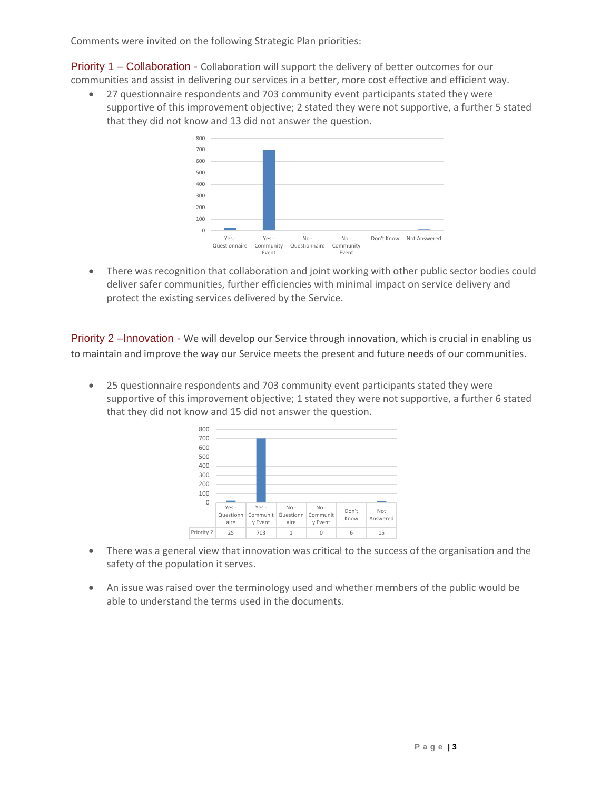Comments were invited on the following Strategic Plan priorities:

Priority 1 – Collaboration - Collaboration will support the delivery of better outcomes for our communities and assist in delivering our services in a better, more cost effective and efficient way.

 27 questionnaire respondents and 703 community event participants stated they were supportive of this improvement objective; 2 stated they were not supportive, a further 5 stated that they did not know and 13 did not answer the question.



 There was recognition that collaboration and joint working with other public sector bodies could deliver safer communities, further efficiencies with minimal impact on service delivery and protect the existing services delivered by the Service.

Priority 2 –Innovation - We will develop our Service through innovation, which is crucial in enabling us to maintain and improve the way our Service meets the present and future needs of our communities.

 25 questionnaire respondents and 703 community event participants stated they were supportive of this improvement objective; 1 stated they were not supportive, a further 6 stated that they did not know and 15 did not answer the question.



- There was a general view that innovation was critical to the success of the organisation and the safety of the population it serves.
- An issue was raised over the terminology used and whether members of the public would be able to understand the terms used in the documents.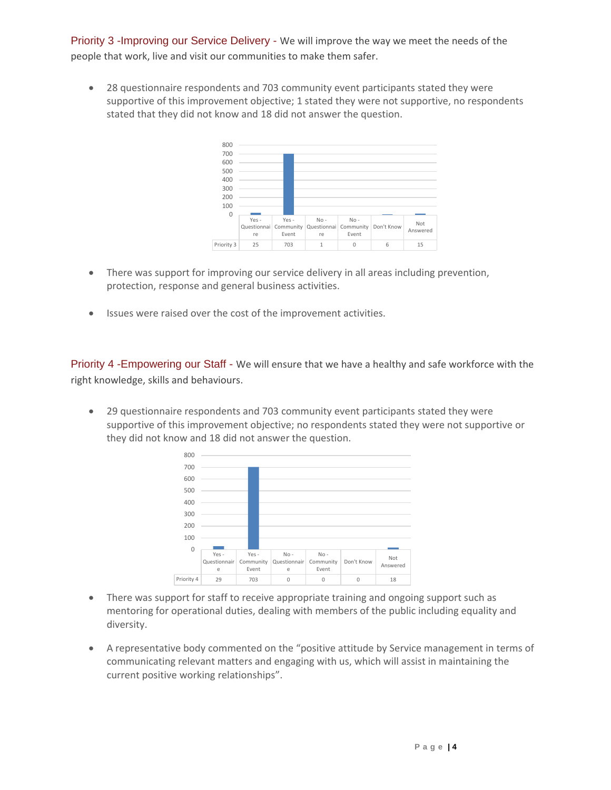Priority 3 -Improving our Service Delivery - We will improve the way we meet the needs of the people that work, live and visit our communities to make them safer.

 28 questionnaire respondents and 703 community event participants stated they were supportive of this improvement objective; 1 stated they were not supportive, no respondents stated that they did not know and 18 did not answer the question.



- There was support for improving our service delivery in all areas including prevention, protection, response and general business activities.
- Issues were raised over the cost of the improvement activities.

Priority 4 -Empowering our Staff - We will ensure that we have a healthy and safe workforce with the right knowledge, skills and behaviours.

 29 questionnaire respondents and 703 community event participants stated they were supportive of this improvement objective; no respondents stated they were not supportive or they did not know and 18 did not answer the question.



- There was support for staff to receive appropriate training and ongoing support such as mentoring for operational duties, dealing with members of the public including equality and diversity.
- A representative body commented on the "positive attitude by Service management in terms of communicating relevant matters and engaging with us, which will assist in maintaining the current positive working relationships".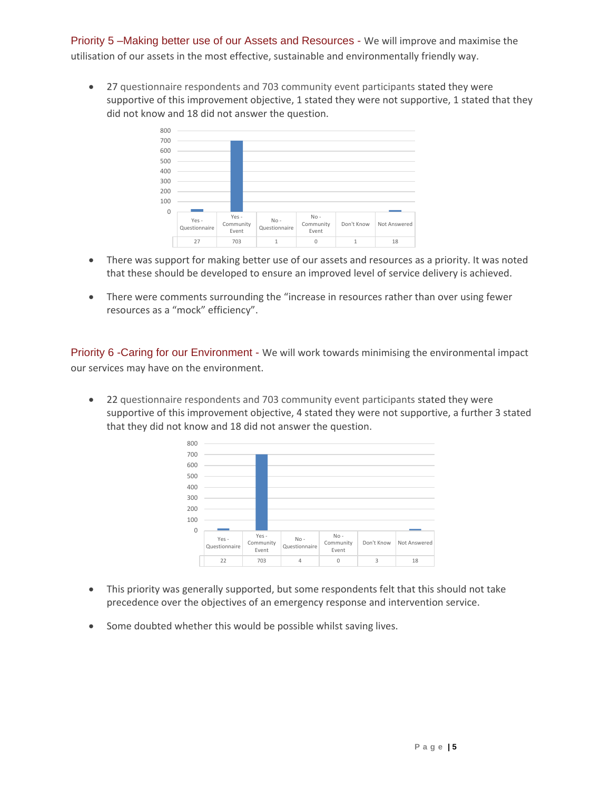Priority 5 –Making better use of our Assets and Resources - We will improve and maximise the utilisation of our assets in the most effective, sustainable and environmentally friendly way.

 27 questionnaire respondents and 703 community event participants stated they were supportive of this improvement objective, 1 stated they were not supportive, 1 stated that they did not know and 18 did not answer the question.



- There was support for making better use of our assets and resources as a priority. It was noted that these should be developed to ensure an improved level of service delivery is achieved.
- There were comments surrounding the "increase in resources rather than over using fewer resources as a "mock" efficiency".

Priority 6 -Caring for our Environment - We will work towards minimising the environmental impact our services may have on the environment.

 22 questionnaire respondents and 703 community event participants stated they were supportive of this improvement objective, 4 stated they were not supportive, a further 3 stated that they did not know and 18 did not answer the question.



- This priority was generally supported, but some respondents felt that this should not take precedence over the objectives of an emergency response and intervention service.
- Some doubted whether this would be possible whilst saving lives.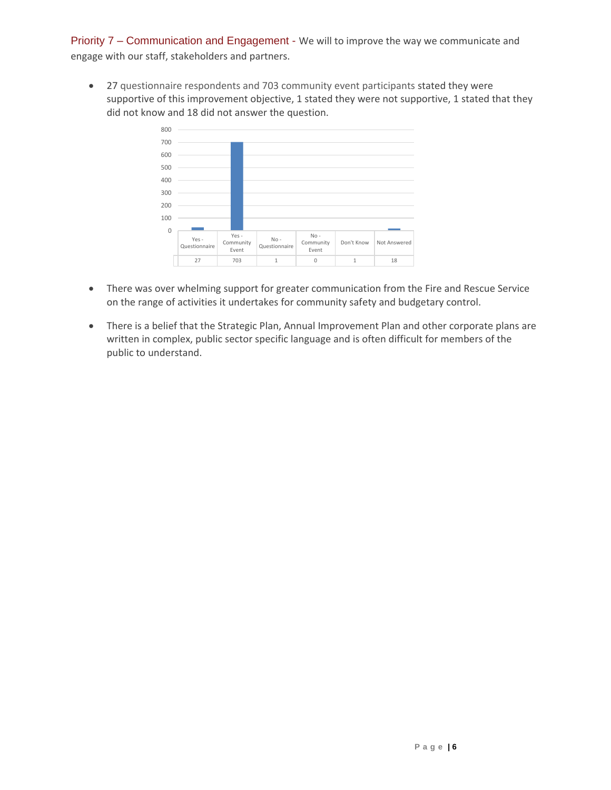Priority 7 – Communication and Engagement - We will to improve the way we communicate and engage with our staff, stakeholders and partners.

 27 questionnaire respondents and 703 community event participants stated they were supportive of this improvement objective, 1 stated they were not supportive, 1 stated that they did not know and 18 did not answer the question.



- There was over whelming support for greater communication from the Fire and Rescue Service on the range of activities it undertakes for community safety and budgetary control.
- There is a belief that the Strategic Plan, Annual Improvement Plan and other corporate plans are written in complex, public sector specific language and is often difficult for members of the public to understand.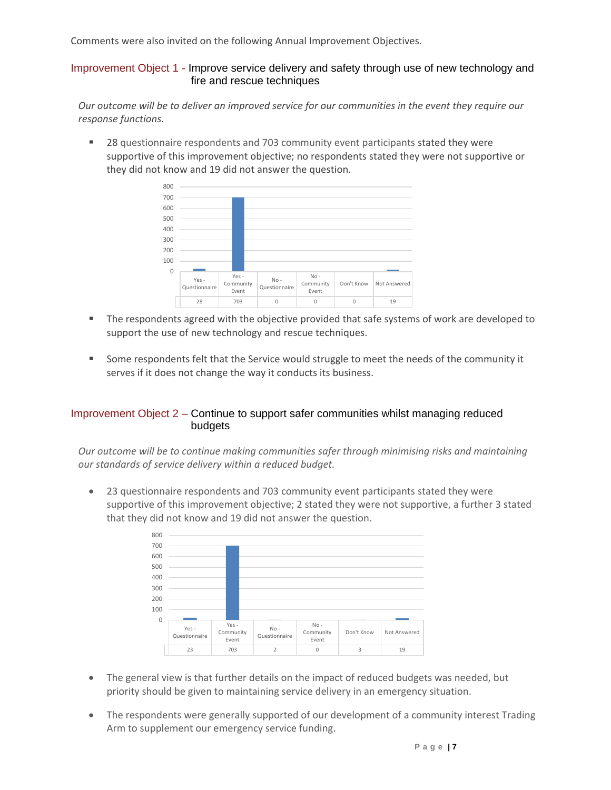Comments were also invited on the following Annual Improvement Objectives.

Improvement Object 1 - Improve service delivery and safety through use of new technology and fire and rescue techniques

*Our outcome will be to deliver an improved service for our communities in the event they require our response functions.*

 28 questionnaire respondents and 703 community event participants stated they were supportive of this improvement objective; no respondents stated they were not supportive or they did not know and 19 did not answer the question.



- The respondents agreed with the objective provided that safe systems of work are developed to support the use of new technology and rescue techniques.
- Some respondents felt that the Service would struggle to meet the needs of the community it serves if it does not change the way it conducts its business.

#### Improvement Object 2 – Continue to support safer communities whilst managing reduced budgets

*Our outcome will be to continue making communities safer through minimising risks and maintaining our standards of service delivery within a reduced budget.*

 23 questionnaire respondents and 703 community event participants stated they were supportive of this improvement objective; 2 stated they were not supportive, a further 3 stated that they did not know and 19 did not answer the question.



- The general view is that further details on the impact of reduced budgets was needed, but priority should be given to maintaining service delivery in an emergency situation.
- The respondents were generally supported of our development of a community interest Trading Arm to supplement our emergency service funding.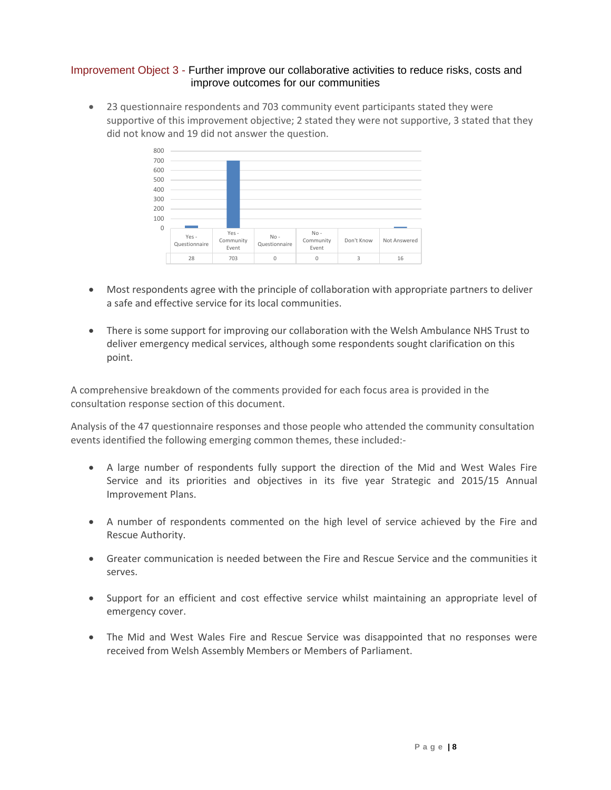#### Improvement Object 3 - Further improve our collaborative activities to reduce risks, costs and improve outcomes for our communities

 23 questionnaire respondents and 703 community event participants stated they were supportive of this improvement objective; 2 stated they were not supportive, 3 stated that they did not know and 19 did not answer the question.



- Most respondents agree with the principle of collaboration with appropriate partners to deliver a safe and effective service for its local communities.
- There is some support for improving our collaboration with the Welsh Ambulance NHS Trust to deliver emergency medical services, although some respondents sought clarification on this point.

A comprehensive breakdown of the comments provided for each focus area is provided in the consultation response section of this document.

Analysis of the 47 questionnaire responses and those people who attended the community consultation events identified the following emerging common themes, these included:-

- A large number of respondents fully support the direction of the Mid and West Wales Fire Service and its priorities and objectives in its five year Strategic and 2015/15 Annual Improvement Plans.
- A number of respondents commented on the high level of service achieved by the Fire and Rescue Authority.
- Greater communication is needed between the Fire and Rescue Service and the communities it serves.
- Support for an efficient and cost effective service whilst maintaining an appropriate level of emergency cover.
- The Mid and West Wales Fire and Rescue Service was disappointed that no responses were received from Welsh Assembly Members or Members of Parliament.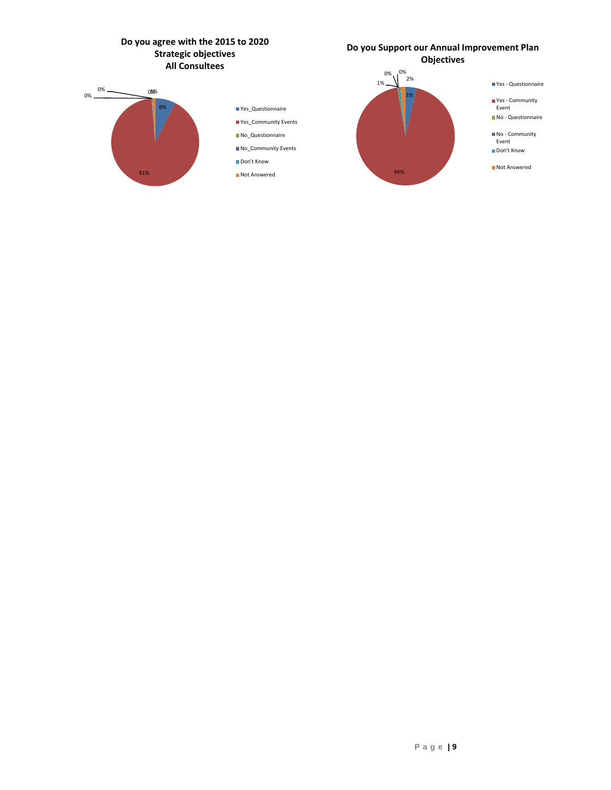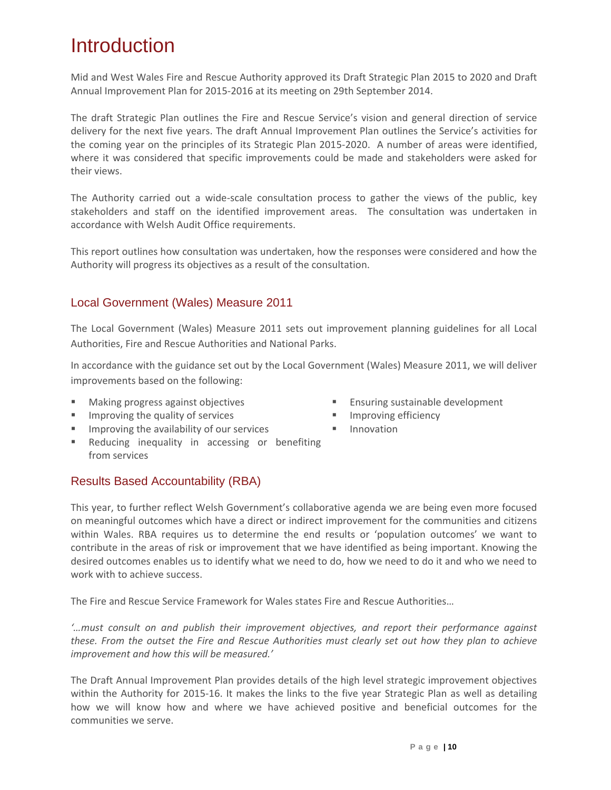## <span id="page-10-0"></span>Introduction

Mid and West Wales Fire and Rescue Authority approved its [Draft Strategic Plan 2015 to 2020 and Draft](http://www.mawwfire.gov.uk/beta/documents/documents/rrp/RRP0910_eng.pdf)  [Annual Improvement Plan for 2015-2016](http://www.mawwfire.gov.uk/beta/documents/documents/rrp/RRP0910_eng.pdf) at its meeting on 29th September 2014.

The draft Strategic Plan outlines the Fire and Rescue Service's vision and general direction of service delivery for the next five years. The draft Annual Improvement Plan outlines the Service's activities for the coming year on the principles of its Strategic Plan 2015-2020. A number of areas were identified, where it was considered that specific improvements could be made and stakeholders were asked for their views.

The Authority carried out a wide-scale consultation process to gather the views of the public, key stakeholders and staff on the identified improvement areas. The consultation was undertaken in accordance with Welsh Audit Office requirements.

This report outlines how consultation was undertaken, how the responses were considered and how the Authority will progress its objectives as a result of the consultation.

## Local Government (Wales) Measure 2011

The Local Government (Wales) Measure 2011 sets out improvement planning guidelines for all Local Authorities, Fire and Rescue Authorities and National Parks.

In accordance with the guidance set out by the Local Government (Wales) Measure 2011, we will deliver improvements based on the following:

- **Making progress against objectives**
- $\blacksquare$  Improving the quality of services
- **IMPROVING THE AVAILABILITY OF OUT SETVICES**
- **Reducing inequality in accessing or benefiting** from services
- **Ensuring sustainable development**
- **IMPROVING EFFECTION**
- **Innovation**

## Results Based Accountability (RBA)

This year, to further reflect Welsh Government's collaborative agenda we are being even more focused on meaningful outcomes which have a direct or indirect improvement for the communities and citizens within Wales. RBA requires us to determine the end results or 'population outcomes' we want to contribute in the areas of risk or improvement that we have identified as being important. Knowing the desired outcomes enables us to identify what we need to do, how we need to do it and who we need to work with to achieve success.

The Fire and Rescue Service Framework for Wales states Fire and Rescue Authorities…

*'…must consult on and publish their improvement objectives, and report their performance against these. From the outset the Fire and Rescue Authorities must clearly set out how they plan to achieve improvement and how this will be measured.'*

The Draft Annual Improvement Plan provides details of the high level strategic improvement objectives within the Authority for 2015-16. It makes the links to the five year Strategic Plan as well as detailing how we will know how and where we have achieved positive and beneficial outcomes for the communities we serve.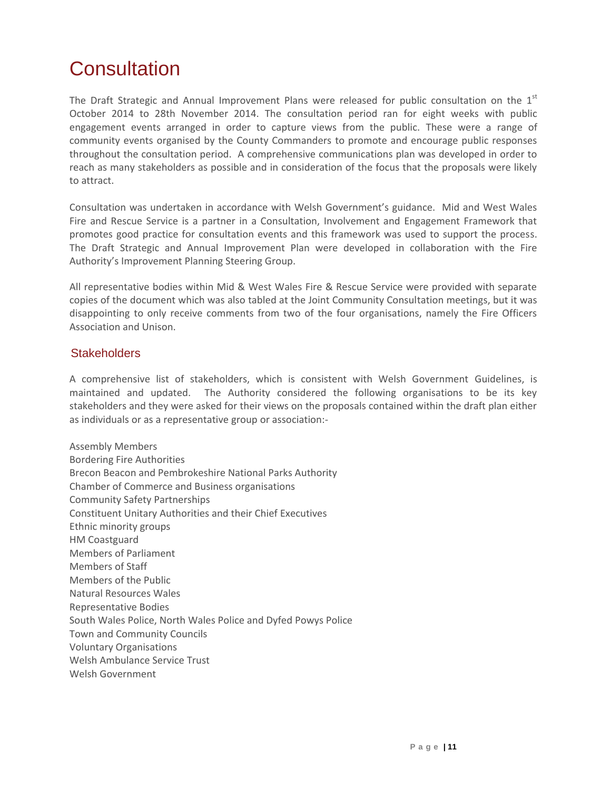## <span id="page-11-0"></span>**Consultation**

The Draft Strategic and Annual Improvement Plans were released for public consultation on the  $1<sup>st</sup>$ October 2014 to 28th November 2014. The consultation period ran for eight weeks with public engagement events arranged in order to capture views from the public. These were a range of community events organised by the County Commanders to promote and encourage public responses throughout the consultation period. A comprehensive communications plan was developed in order to reach as many stakeholders as possible and in consideration of the focus that the proposals were likely to attract.

Consultation was undertaken in accordance with Welsh Government's guidance. Mid and West Wales Fire and Rescue Service is a partner in a Consultation, Involvement and Engagement Framework that promotes good practice for consultation events and this framework was used to support the process. The Draft Strategic and Annual Improvement Plan were developed in collaboration with the Fire Authority's Improvement Planning Steering Group.

All representative bodies within Mid & West Wales Fire & Rescue Service were provided with separate copies of the document which was also tabled at the Joint Community Consultation meetings, but it was disappointing to only receive comments from two of the four organisations, namely the Fire Officers Association and Unison.

#### **Stakeholders**

A comprehensive list of stakeholders, which is consistent with Welsh Government Guidelines, is maintained and updated. The Authority considered the following organisations to be its key stakeholders and they were asked for their views on the proposals contained within the draft plan either as individuals or as a representative group or association:-

Assembly Members Bordering Fire Authorities Brecon Beacon and Pembrokeshire National Parks Authority Chamber of Commerce and Business organisations Community Safety Partnerships Constituent Unitary Authorities and their Chief Executives Ethnic minority groups HM Coastguard Members of Parliament Members of Staff Members of the Public Natural Resources Wales Representative Bodies South Wales Police, North Wales Police and Dyfed Powys Police Town and Community Councils Voluntary Organisations Welsh Ambulance Service Trust Welsh Government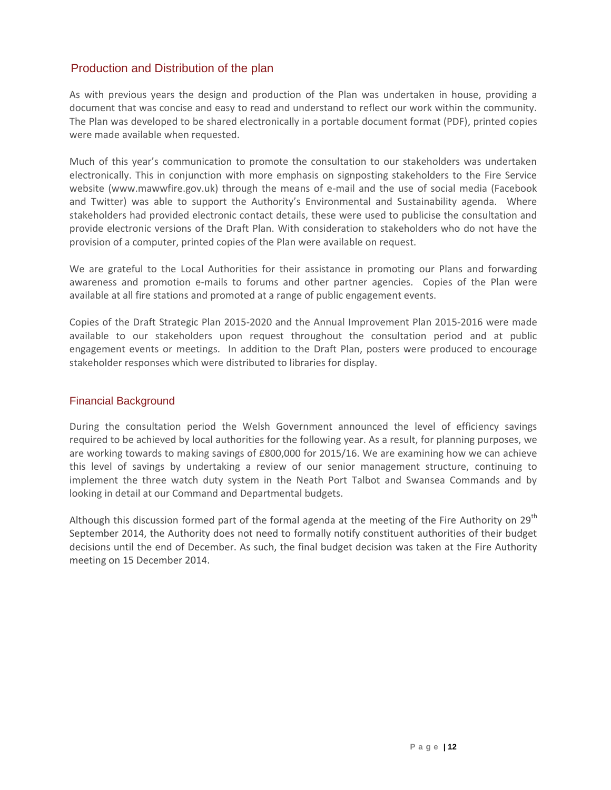## Production and Distribution of the plan

As with previous years the design and production of the Plan was undertaken in house, providing a document that was concise and easy to read and understand to reflect our work within the community. The Plan was developed to be shared electronically in a portable document format (PDF), printed copies were made available when requested.

Much of this year's communication to promote the consultation to our stakeholders was undertaken electronically. This in conjunction with more emphasis on signposting stakeholders to the Fire Service website [\(www.mawwfire.gov.uk\)](http://www.mawwfire.gov.uk/) through the means of e-mail and the use of social media (Facebook and Twitter) was able to support the Authority's Environmental and Sustainability agenda. Where stakeholders had provided electronic contact details, these were used to publicise the consultation and provide electronic versions of the Draft Plan. With consideration to stakeholders who do not have the provision of a computer, printed copies of the Plan were available on request.

We are grateful to the Local Authorities for their assistance in promoting our Plans and forwarding awareness and promotion e-mails to forums and other partner agencies. Copies of the Plan were available at all fire stations and promoted at a range of public engagement events.

Copies of the Draft Strategic Plan 2015-2020 and the Annual Improvement Plan 2015-2016 were made available to our stakeholders upon request throughout the consultation period and at public engagement events or meetings. In addition to the Draft Plan, posters were produced to encourage stakeholder responses which were distributed to libraries for display.

#### Financial Background

During the consultation period the Welsh Government announced the level of efficiency savings required to be achieved by local authorities for the following year. As a result, for planning purposes, we are working towards to making savings of £800,000 for 2015/16. We are examining how we can achieve this level of savings by undertaking a review of our senior management structure, continuing to implement the three watch duty system in the Neath Port Talbot and Swansea Commands and by looking in detail at our Command and Departmental budgets.

Although this discussion formed part of the formal agenda at the meeting of the Fire Authority on 29<sup>th</sup> September 2014, the Authority does not need to formally notify constituent authorities of their budget decisions until the end of December. As such, the final budget decision was taken at the Fire Authority meeting on 15 December 2014.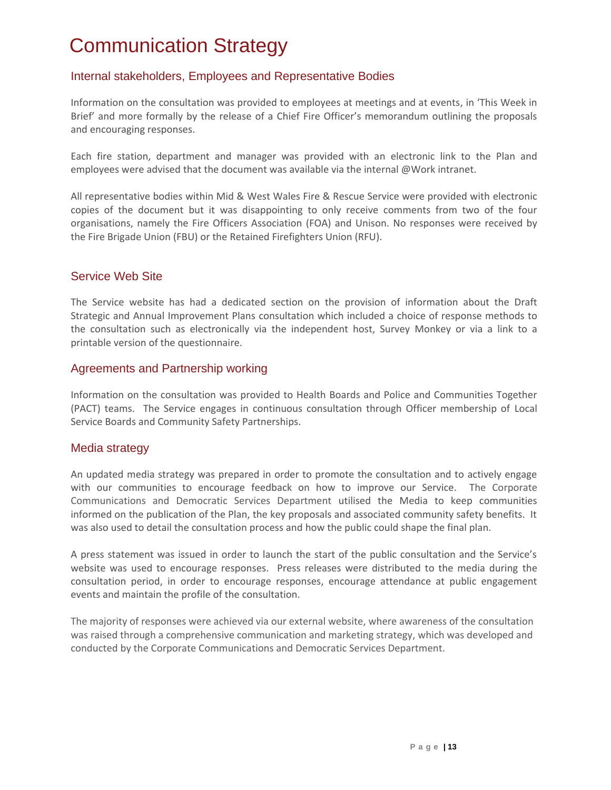## <span id="page-13-0"></span>Communication Strategy

## Internal stakeholders, Employees and Representative Bodies

Information on the consultation was provided to employees at meetings and at events, in 'This Week in Brief' and more formally by the release of a Chief Fire Officer's memorandum outlining the proposals and encouraging responses.

Each fire station, department and manager was provided with an electronic link to the Plan and employees were advised that the document was available via the internal @Work intranet.

All representative bodies within Mid & West Wales Fire & Rescue Service were provided with electronic copies of the document but it was disappointing to only receive comments from two of the four organisations, namely the Fire Officers Association (FOA) and Unison. No responses were received by the Fire Brigade Union (FBU) or the Retained Firefighters Union (RFU).

### Service Web Site

The Service website has had a dedicated section on the provision of information about the Draft Strategic and Annual Improvement Plans consultation which included a choice of response methods to the consultation such as electronically via the independent host, Survey Monkey or via a link to a printable version of the questionnaire.

#### Agreements and Partnership working

Information on the consultation was provided to Health Boards and Police and Communities Together (PACT) teams. The Service engages in continuous consultation through Officer membership of Local Service Boards and Community Safety Partnerships.

#### Media strategy

An updated media strategy was prepared in order to promote the consultation and to actively engage with our communities to encourage feedback on how to improve our Service. The Corporate Communications and Democratic Services Department utilised the Media to keep communities informed on the publication of the Plan, the key proposals and associated community safety benefits. It was also used to detail the consultation process and how the public could shape the final plan.

A press statement was issued in order to launch the start of the public consultation and the Service's website was used to encourage responses. Press releases were distributed to the media during the consultation period, in order to encourage responses, encourage attendance at public engagement events and maintain the profile of the consultation.

The majority of responses were achieved via our external website, where awareness of the consultation was raised through a comprehensive communication and marketing strategy, which was developed and conducted by the Corporate Communications and Democratic Services Department.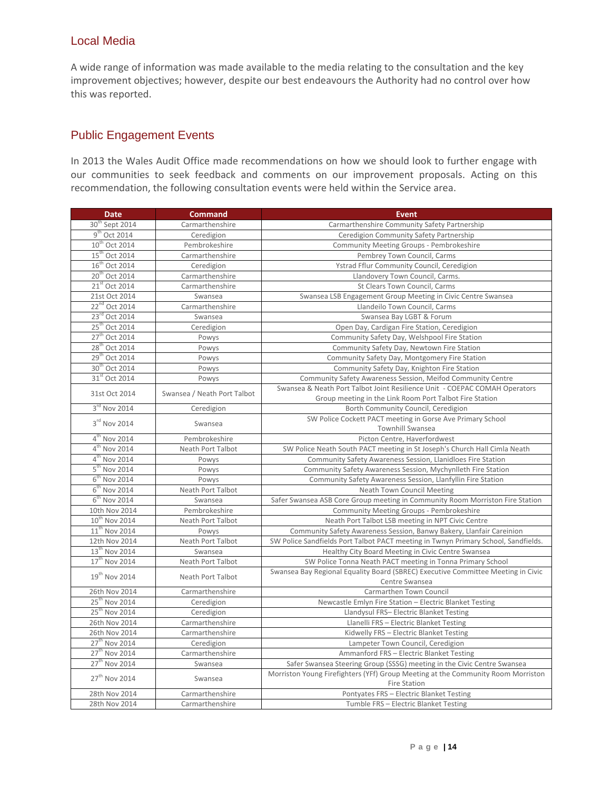### Local Media

A wide range of information was made available to the media relating to the consultation and the key improvement objectives; however, despite our best endeavours the Authority had no control over how this was reported.

## Public Engagement Events

In 2013 the Wales Audit Office made recommendations on how we should look to further engage with our communities to seek feedback and comments on our improvement proposals. Acting on this recommendation, the following consultation events were held within the Service area.

| <b>Date</b>                | <b>Command</b>              | <b>Event</b>                                                                                     |  |
|----------------------------|-----------------------------|--------------------------------------------------------------------------------------------------|--|
| 30 <sup>th</sup> Sept 2014 | Carmarthenshire             | Carmarthenshire Community Safety Partnership                                                     |  |
| 9 <sup>th</sup> Oct 2014   | Ceredigion                  | Ceredigion Community Safety Partnership                                                          |  |
| 10 <sup>th</sup> Oct 2014  | Pembrokeshire               | Community Meeting Groups - Pembrokeshire                                                         |  |
| 15 <sup>th</sup> Oct 2014  | Carmarthenshire             | Pembrey Town Council, Carms                                                                      |  |
| 16 <sup>th</sup> Oct 2014  | Ceredigion                  | Ystrad Fflur Community Council, Ceredigion                                                       |  |
| 20 <sup>th</sup> Oct 2014  | Carmarthenshire             | Llandovery Town Council, Carms.                                                                  |  |
| 21 <sup>st</sup> Oct 2014  | Carmarthenshire             | St Clears Town Council, Carms                                                                    |  |
| 21st Oct 2014              | Swansea                     | Swansea LSB Engagement Group Meeting in Civic Centre Swansea                                     |  |
| 22 <sup>nd</sup> Oct 2014  | Carmarthenshire             | Llandeilo Town Council, Carms                                                                    |  |
| 23rd Oct 2014              | Swansea                     | Swansea Bay LGBT & Forum                                                                         |  |
| 25th Oct 2014              | Ceredigion                  | Open Day, Cardigan Fire Station, Ceredigion                                                      |  |
| 27th Oct 2014              | Powys                       | Community Safety Day, Welshpool Fire Station                                                     |  |
| 28 <sup>th</sup> Oct 2014  | Powys                       | Community Safety Day, Newtown Fire Station                                                       |  |
| 29 <sup>th</sup> Oct 2014  | Powys                       | Community Safety Day, Montgomery Fire Station                                                    |  |
| 30 <sup>th</sup> Oct 2014  | Powys                       | Community Safety Day, Knighton Fire Station                                                      |  |
| 31 <sup>st</sup> Oct 2014  | Powys                       | Community Safety Awareness Session, Meifod Community Centre                                      |  |
| 31st Oct 2014              | Swansea / Neath Port Talbot | Swansea & Neath Port Talbot Joint Resilience Unit - COEPAC COMAH Operators                       |  |
|                            |                             | Group meeting in the Link Room Port Talbot Fire Station                                          |  |
| 3rd Nov 2014               | Ceredigion                  | Borth Community Council, Ceredigion                                                              |  |
| 3rd Nov 2014               | Swansea                     | SW Police Cockett PACT meeting in Gorse Ave Primary School                                       |  |
|                            |                             | Townhill Swansea                                                                                 |  |
| $4^{\text{th}}$ Nov 2014   | Pembrokeshire               | Picton Centre, Haverfordwest                                                                     |  |
| $4th$ Nov 2014             | Neath Port Talbot           | SW Police Neath South PACT meeting in St Joseph's Church Hall Cimla Neath                        |  |
| 4 <sup>th</sup> Nov 2014   | Powys                       | Community Safety Awareness Session, Llanidloes Fire Station                                      |  |
| 5 <sup>th</sup> Nov 2014   | Powys                       | Community Safety Awareness Session, Mychynlleth Fire Station                                     |  |
| $6th$ Nov 2014             | Powys                       | Community Safety Awareness Session, Llanfyllin Fire Station                                      |  |
| $6th$ Nov 2014             | Neath Port Talbot           | <b>Neath Town Council Meeting</b>                                                                |  |
| $6th$ Nov 2014             | Swansea                     | Safer Swansea ASB Core Group meeting in Community Room Morriston Fire Station                    |  |
| 10th Nov 2014              | Pembrokeshire               | Community Meeting Groups - Pembrokeshire                                                         |  |
| $10^{th}$ Nov 2014         | Neath Port Talbot           | Neath Port Talbot LSB meeting in NPT Civic Centre                                                |  |
| 11 <sup>th</sup> Nov 2014  | Powys                       | Community Safety Awareness Session, Banwy Bakery, Llanfair Careinion                             |  |
| 12th Nov 2014              | Neath Port Talbot           | SW Police Sandfields Port Talbot PACT meeting in Twnyn Primary School, Sandfields.               |  |
| 13th Nov 2014              | Swansea                     | Healthy City Board Meeting in Civic Centre Swansea                                               |  |
| $17th$ Nov 2014            | Neath Port Talbot           | SW Police Tonna Neath PACT meeting in Tonna Primary School                                       |  |
| 19 <sup>th</sup> Nov 2014  | Neath Port Talbot           | Swansea Bay Regional Equality Board (SBREC) Executive Committee Meeting in Civic                 |  |
|                            |                             | Centre Swansea                                                                                   |  |
| 26th Nov 2014              | Carmarthenshire             | Carmarthen Town Council                                                                          |  |
| 25 <sup>th</sup> Nov 2014  | Ceredigion                  | Newcastle Emlyn Fire Station - Electric Blanket Testing                                          |  |
| 25 <sup>th</sup> Nov 2014  | Ceredigion                  | Llandysul FRS- Electric Blanket Testing                                                          |  |
| 26th Nov 2014              | Carmarthenshire             | Llanelli FRS - Electric Blanket Testing                                                          |  |
| 26th Nov 2014              | Carmarthenshire             | Kidwelly FRS - Electric Blanket Testing                                                          |  |
| 27 <sup>th</sup> Nov 2014  | Ceredigion                  | Lampeter Town Council, Ceredigion                                                                |  |
| 27 <sup>th</sup> Nov 2014  | Carmarthenshire             | Ammanford FRS - Electric Blanket Testing                                                         |  |
| 27 <sup>th</sup> Nov 2014  | Swansea                     | Safer Swansea Steering Group (SSSG) meeting in the Civic Centre Swansea                          |  |
| 27 <sup>th</sup> Nov 2014  | Swansea                     | Morriston Young Firefighters (YFf) Group Meeting at the Community Room Morriston<br>Fire Station |  |
| 28th Nov 2014              | Carmarthenshire             | Pontyates FRS - Electric Blanket Testing                                                         |  |
| 28th Nov 2014              | Carmarthenshire             | Tumble FRS - Electric Blanket Testing                                                            |  |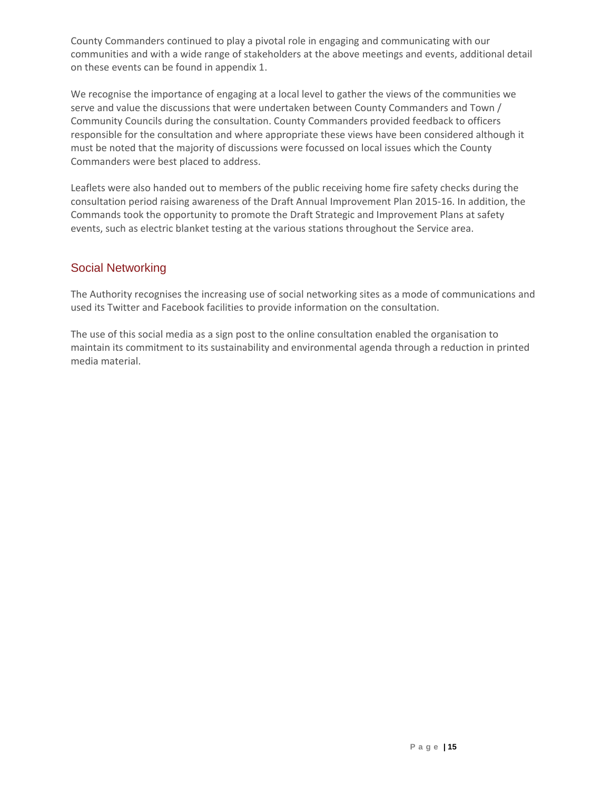County Commanders continued to play a pivotal role in engaging and communicating with our communities and with a wide range of stakeholders at the above meetings and events, additional detail on these events can be found in appendix 1.

We recognise the importance of engaging at a local level to gather the views of the communities we serve and value the discussions that were undertaken between County Commanders and Town / Community Councils during the consultation. County Commanders provided feedback to officers responsible for the consultation and where appropriate these views have been considered although it must be noted that the majority of discussions were focussed on local issues which the County Commanders were best placed to address.

Leaflets were also handed out to members of the public receiving home fire safety checks during the consultation period raising awareness of the Draft Annual Improvement Plan 2015-16. In addition, the Commands took the opportunity to promote the Draft Strategic and Improvement Plans at safety events, such as electric blanket testing at the various stations throughout the Service area.

## Social Networking

The Authority recognises the increasing use of social networking sites as a mode of communications and used its Twitter and Facebook facilities to provide information on the consultation.

The use of this social media as a sign post to the online consultation enabled the organisation to maintain its commitment to its sustainability and environmental agenda through a reduction in printed media material.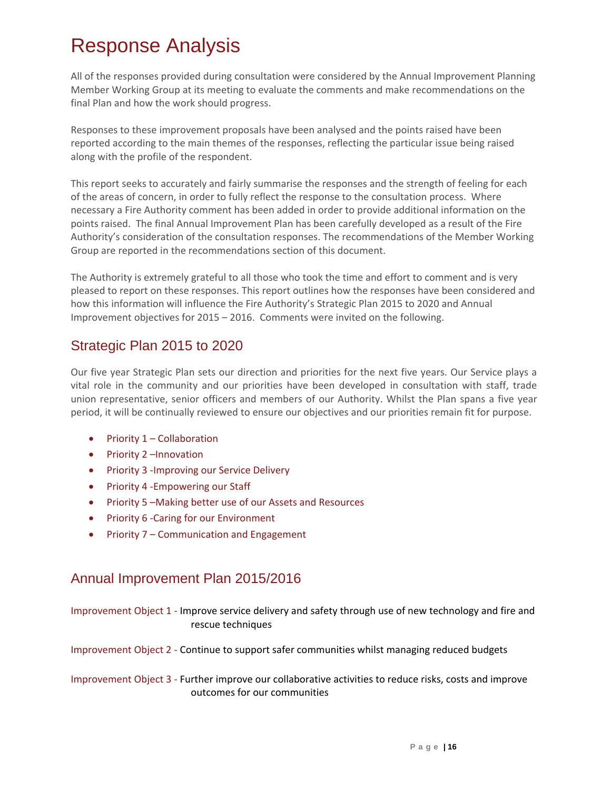## <span id="page-16-0"></span>Response Analysis

All of the responses provided during consultation were considered by the Annual Improvement Planning Member Working Group at its meeting to evaluate the comments and make recommendations on the final Plan and how the work should progress.

Responses to these improvement proposals have been analysed and the points raised have been reported according to the main themes of the responses, reflecting the particular issue being raised along with the profile of the respondent.

This report seeks to accurately and fairly summarise the responses and the strength of feeling for each of the areas of concern, in order to fully reflect the response to the consultation process. Where necessary a Fire Authority comment has been added in order to provide additional information on the points raised. The final Annual Improvement Plan has been carefully developed as a result of the Fire Authority's consideration of the consultation responses. The recommendations of the Member Working Group are reported in the recommendations section of this document.

The Authority is extremely grateful to all those who took the time and effort to comment and is very pleased to report on these responses. This report outlines how the responses have been considered and how this information will influence the Fire Authority's Strategic Plan 2015 to 2020 and Annual Improvement objectives for 2015 – 2016. Comments were invited on the following.

## Strategic Plan 2015 to 2020

Our five year Strategic Plan sets our direction and priorities for the next five years. Our Service plays a vital role in the community and our priorities have been developed in consultation with staff, trade union representative, senior officers and members of our Authority. Whilst the Plan spans a five year period, it will be continually reviewed to ensure our objectives and our priorities remain fit for purpose.

- $\bullet$  Priority 1 Collaboration
- Priority 2 Innovation
- Priority 3 Improving our Service Delivery
- Priority 4 Empowering our Staff
- Priority 5 Making better use of our Assets and Resources
- Priority 6 -Caring for our Environment
- Priority 7 Communication and Engagement

## Annual Improvement Plan 2015/2016

Improvement Object 1 - Improve service delivery and safety through use of new technology and fire and rescue techniques

Improvement Object 2 - Continue to support safer communities whilst managing reduced budgets

Improvement Object 3 - Further improve our collaborative activities to reduce risks, costs and improve outcomes for our communities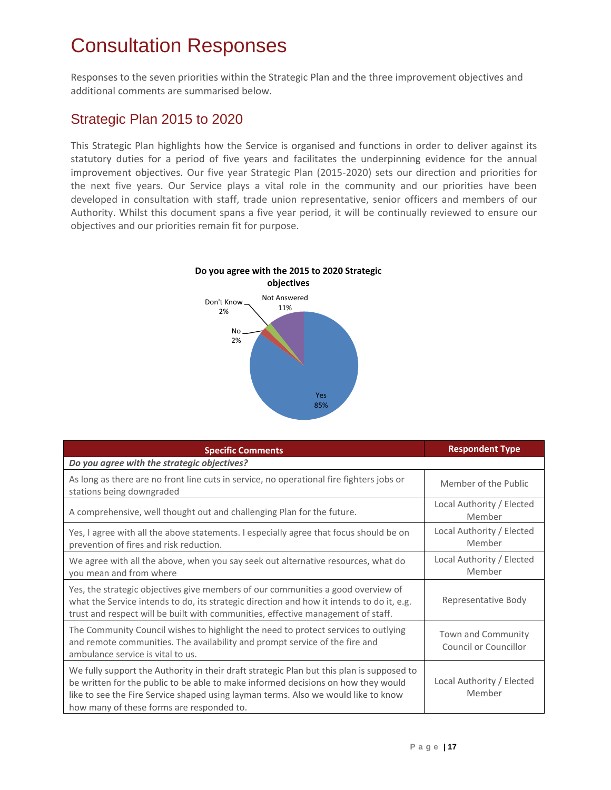## <span id="page-17-0"></span>Consultation Responses

Responses to the seven priorities within the Strategic Plan and the three improvement objectives and additional comments are summarised below.

## Strategic Plan 2015 to 2020

This Strategic Plan highlights how the Service is organised and functions in order to deliver against its statutory duties for a period of five years and facilitates the underpinning evidence for the annual improvement objectives. Our five year Strategic Plan (2015-2020) sets our direction and priorities for the next five years. Our Service plays a vital role in the community and our priorities have been developed in consultation with staff, trade union representative, senior officers and members of our Authority. Whilst this document spans a five year period, it will be continually reviewed to ensure our objectives and our priorities remain fit for purpose.



| <b>Specific Comments</b>                                                                                                                                                                                                                                                                                          | <b>Respondent Type</b>                      |  |
|-------------------------------------------------------------------------------------------------------------------------------------------------------------------------------------------------------------------------------------------------------------------------------------------------------------------|---------------------------------------------|--|
| Do you agree with the strategic objectives?                                                                                                                                                                                                                                                                       |                                             |  |
| As long as there are no front line cuts in service, no operational fire fighters jobs or<br>stations being downgraded                                                                                                                                                                                             | Member of the Public                        |  |
| A comprehensive, well thought out and challenging Plan for the future.                                                                                                                                                                                                                                            | Local Authority / Elected<br>Member         |  |
| Yes, I agree with all the above statements. I especially agree that focus should be on<br>prevention of fires and risk reduction.                                                                                                                                                                                 | Local Authority / Elected<br>Member         |  |
| We agree with all the above, when you say seek out alternative resources, what do<br>you mean and from where                                                                                                                                                                                                      | Local Authority / Elected<br>Member         |  |
| Yes, the strategic objectives give members of our communities a good overview of<br>what the Service intends to do, its strategic direction and how it intends to do it, e.g.<br>trust and respect will be built with communities, effective management of staff.                                                 | Representative Body                         |  |
| The Community Council wishes to highlight the need to protect services to outlying<br>and remote communities. The availability and prompt service of the fire and<br>ambulance service is vital to us.                                                                                                            | Town and Community<br>Council or Councillor |  |
| We fully support the Authority in their draft strategic Plan but this plan is supposed to<br>be written for the public to be able to make informed decisions on how they would<br>like to see the Fire Service shaped using layman terms. Also we would like to know<br>how many of these forms are responded to. | Local Authority / Elected<br>Member         |  |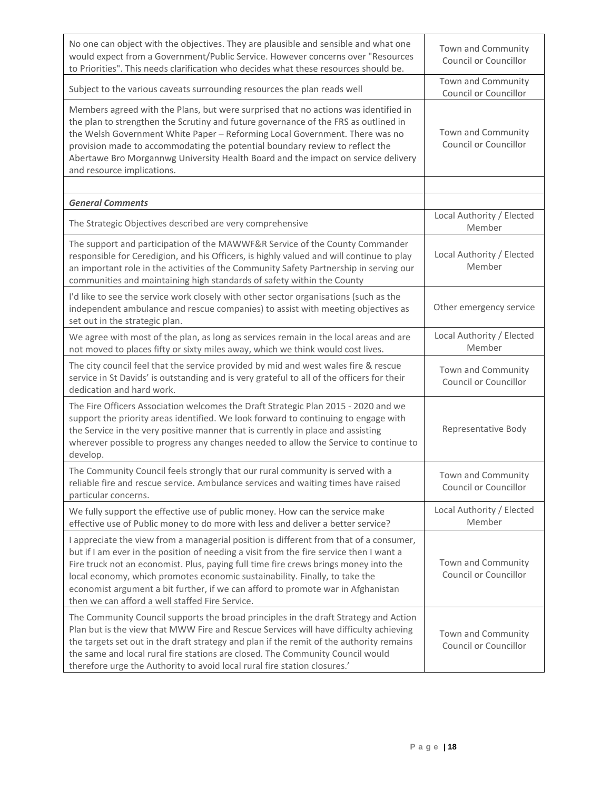| No one can object with the objectives. They are plausible and sensible and what one<br>would expect from a Government/Public Service. However concerns over "Resources<br>to Priorities". This needs clarification who decides what these resources should be.                                                                                                                                                                                                                                  | Town and Community<br>Council or Councillor |
|-------------------------------------------------------------------------------------------------------------------------------------------------------------------------------------------------------------------------------------------------------------------------------------------------------------------------------------------------------------------------------------------------------------------------------------------------------------------------------------------------|---------------------------------------------|
| Subject to the various caveats surrounding resources the plan reads well                                                                                                                                                                                                                                                                                                                                                                                                                        | Town and Community<br>Council or Councillor |
| Members agreed with the Plans, but were surprised that no actions was identified in<br>the plan to strengthen the Scrutiny and future governance of the FRS as outlined in<br>the Welsh Government White Paper - Reforming Local Government. There was no<br>provision made to accommodating the potential boundary review to reflect the<br>Abertawe Bro Morgannwg University Health Board and the impact on service delivery<br>and resource implications.                                    | Town and Community<br>Council or Councillor |
|                                                                                                                                                                                                                                                                                                                                                                                                                                                                                                 |                                             |
| <b>General Comments</b>                                                                                                                                                                                                                                                                                                                                                                                                                                                                         | Local Authority / Elected                   |
| The Strategic Objectives described are very comprehensive                                                                                                                                                                                                                                                                                                                                                                                                                                       | Member                                      |
| The support and participation of the MAWWF&R Service of the County Commander<br>responsible for Ceredigion, and his Officers, is highly valued and will continue to play<br>an important role in the activities of the Community Safety Partnership in serving our<br>communities and maintaining high standards of safety within the County                                                                                                                                                    | Local Authority / Elected<br>Member         |
| I'd like to see the service work closely with other sector organisations (such as the<br>independent ambulance and rescue companies) to assist with meeting objectives as<br>set out in the strategic plan.                                                                                                                                                                                                                                                                                     | Other emergency service                     |
| We agree with most of the plan, as long as services remain in the local areas and are<br>not moved to places fifty or sixty miles away, which we think would cost lives.                                                                                                                                                                                                                                                                                                                        | Local Authority / Elected<br>Member         |
| The city council feel that the service provided by mid and west wales fire & rescue<br>service in St Davids' is outstanding and is very grateful to all of the officers for their<br>dedication and hard work.                                                                                                                                                                                                                                                                                  | Town and Community<br>Council or Councillor |
| The Fire Officers Association welcomes the Draft Strategic Plan 2015 - 2020 and we<br>support the priority areas identified. We look forward to continuing to engage with<br>the Service in the very positive manner that is currently in place and assisting<br>wherever possible to progress any changes needed to allow the Service to continue to<br>develop.                                                                                                                               | Representative Body                         |
| The Community Council feels strongly that our rural community is served with a<br>reliable fire and rescue service. Ambulance services and waiting times have raised<br>particular concerns.                                                                                                                                                                                                                                                                                                    | Town and Community<br>Council or Councillor |
| We fully support the effective use of public money. How can the service make<br>effective use of Public money to do more with less and deliver a better service?                                                                                                                                                                                                                                                                                                                                | Local Authority / Elected<br>Member         |
| I appreciate the view from a managerial position is different from that of a consumer,<br>but if I am ever in the position of needing a visit from the fire service then I want a<br>Fire truck not an economist. Plus, paying full time fire crews brings money into the<br>local economy, which promotes economic sustainability. Finally, to take the<br>economist argument a bit further, if we can afford to promote war in Afghanistan<br>then we can afford a well staffed Fire Service. | Town and Community<br>Council or Councillor |
| The Community Council supports the broad principles in the draft Strategy and Action<br>Plan but is the view that MWW Fire and Rescue Services will have difficulty achieving<br>the targets set out in the draft strategy and plan if the remit of the authority remains<br>the same and local rural fire stations are closed. The Community Council would<br>therefore urge the Authority to avoid local rural fire station closures.'                                                        | Town and Community<br>Council or Councillor |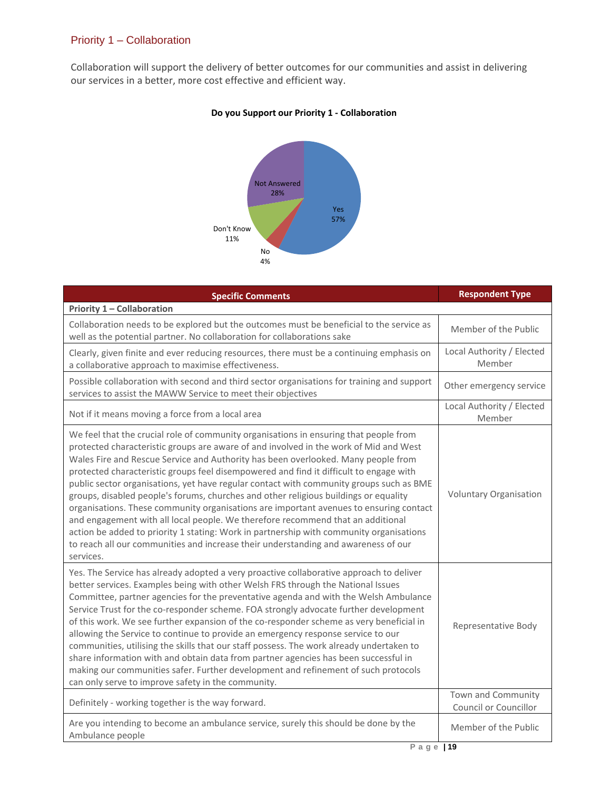### Priority 1 – Collaboration

Collaboration will support the delivery of better outcomes for our communities and assist in delivering our services in a better, more cost effective and efficient way.



#### **Do you Support our Priority 1 - Collaboration**

| <b>Specific Comments</b>                                                                                                                                                                                                                                                                                                                                                                                                                                                                                                                                                                                                                                                                                                                                                                                                                                                                                                    | <b>Respondent Type</b>                    |
|-----------------------------------------------------------------------------------------------------------------------------------------------------------------------------------------------------------------------------------------------------------------------------------------------------------------------------------------------------------------------------------------------------------------------------------------------------------------------------------------------------------------------------------------------------------------------------------------------------------------------------------------------------------------------------------------------------------------------------------------------------------------------------------------------------------------------------------------------------------------------------------------------------------------------------|-------------------------------------------|
| Priority 1 - Collaboration                                                                                                                                                                                                                                                                                                                                                                                                                                                                                                                                                                                                                                                                                                                                                                                                                                                                                                  |                                           |
| Collaboration needs to be explored but the outcomes must be beneficial to the service as<br>well as the potential partner. No collaboration for collaborations sake                                                                                                                                                                                                                                                                                                                                                                                                                                                                                                                                                                                                                                                                                                                                                         | Member of the Public                      |
| Clearly, given finite and ever reducing resources, there must be a continuing emphasis on<br>a collaborative approach to maximise effectiveness.                                                                                                                                                                                                                                                                                                                                                                                                                                                                                                                                                                                                                                                                                                                                                                            | Local Authority / Elected<br>Member       |
| Possible collaboration with second and third sector organisations for training and support<br>services to assist the MAWW Service to meet their objectives                                                                                                                                                                                                                                                                                                                                                                                                                                                                                                                                                                                                                                                                                                                                                                  | Other emergency service                   |
| Not if it means moving a force from a local area                                                                                                                                                                                                                                                                                                                                                                                                                                                                                                                                                                                                                                                                                                                                                                                                                                                                            | Local Authority / Elected<br>Member       |
| We feel that the crucial role of community organisations in ensuring that people from<br>protected characteristic groups are aware of and involved in the work of Mid and West<br>Wales Fire and Rescue Service and Authority has been overlooked. Many people from<br>protected characteristic groups feel disempowered and find it difficult to engage with<br>public sector organisations, yet have regular contact with community groups such as BME<br>groups, disabled people's forums, churches and other religious buildings or equality<br>organisations. These community organisations are important avenues to ensuring contact<br>and engagement with all local people. We therefore recommend that an additional<br>action be added to priority 1 stating: Work in partnership with community organisations<br>to reach all our communities and increase their understanding and awareness of our<br>services. | Voluntary Organisation                    |
| Yes. The Service has already adopted a very proactive collaborative approach to deliver<br>better services. Examples being with other Welsh FRS through the National Issues<br>Committee, partner agencies for the preventative agenda and with the Welsh Ambulance<br>Service Trust for the co-responder scheme. FOA strongly advocate further development<br>of this work. We see further expansion of the co-responder scheme as very beneficial in<br>allowing the Service to continue to provide an emergency response service to our<br>communities, utilising the skills that our staff possess. The work already undertaken to<br>share information with and obtain data from partner agencies has been successful in<br>making our communities safer. Further development and refinement of such protocols<br>can only serve to improve safety in the community.                                                   | Representative Body<br>Town and Community |
| Definitely - working together is the way forward.                                                                                                                                                                                                                                                                                                                                                                                                                                                                                                                                                                                                                                                                                                                                                                                                                                                                           | Council or Councillor                     |
| Are you intending to become an ambulance service, surely this should be done by the<br>Ambulance people                                                                                                                                                                                                                                                                                                                                                                                                                                                                                                                                                                                                                                                                                                                                                                                                                     | Member of the Public                      |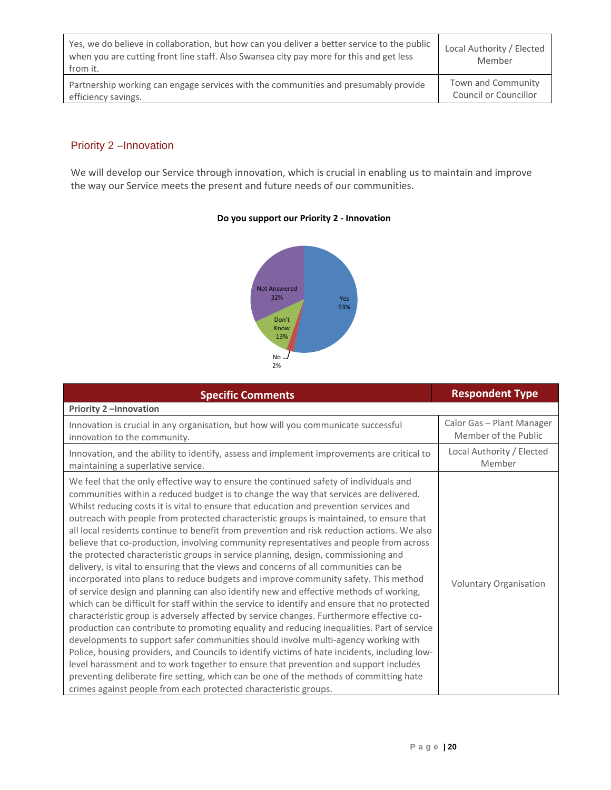| Yes, we do believe in collaboration, but how can you deliver a better service to the public<br>when you are cutting front line staff. Also Swansea city pay more for this and get less<br>from it. | Local Authority / Elected<br>Member |
|----------------------------------------------------------------------------------------------------------------------------------------------------------------------------------------------------|-------------------------------------|
| Partnership working can engage services with the communities and presumably provide                                                                                                                | Town and Community                  |
| efficiency savings.                                                                                                                                                                                | Council or Councillor               |

### Priority 2 –Innovation

We will develop our Service through innovation, which is crucial in enabling us to maintain and improve the way our Service meets the present and future needs of our communities.

#### **Do you support our Priority 2 - Innovation**



| <b>Specific Comments</b>                                                                                                                                                                                                                                                                                                                                                                                                                                                                                                                                                                                                                                                                                                                                                                                                                                                                                                                                                                                                                                                                                                                                                                                                                                                                                                                                                                                                                                                                                                                                                                                                                                           | <b>Respondent Type</b>                            |
|--------------------------------------------------------------------------------------------------------------------------------------------------------------------------------------------------------------------------------------------------------------------------------------------------------------------------------------------------------------------------------------------------------------------------------------------------------------------------------------------------------------------------------------------------------------------------------------------------------------------------------------------------------------------------------------------------------------------------------------------------------------------------------------------------------------------------------------------------------------------------------------------------------------------------------------------------------------------------------------------------------------------------------------------------------------------------------------------------------------------------------------------------------------------------------------------------------------------------------------------------------------------------------------------------------------------------------------------------------------------------------------------------------------------------------------------------------------------------------------------------------------------------------------------------------------------------------------------------------------------------------------------------------------------|---------------------------------------------------|
| <b>Priority 2-Innovation</b>                                                                                                                                                                                                                                                                                                                                                                                                                                                                                                                                                                                                                                                                                                                                                                                                                                                                                                                                                                                                                                                                                                                                                                                                                                                                                                                                                                                                                                                                                                                                                                                                                                       |                                                   |
| Innovation is crucial in any organisation, but how will you communicate successful<br>innovation to the community.                                                                                                                                                                                                                                                                                                                                                                                                                                                                                                                                                                                                                                                                                                                                                                                                                                                                                                                                                                                                                                                                                                                                                                                                                                                                                                                                                                                                                                                                                                                                                 | Calor Gas - Plant Manager<br>Member of the Public |
| Innovation, and the ability to identify, assess and implement improvements are critical to<br>maintaining a superlative service.                                                                                                                                                                                                                                                                                                                                                                                                                                                                                                                                                                                                                                                                                                                                                                                                                                                                                                                                                                                                                                                                                                                                                                                                                                                                                                                                                                                                                                                                                                                                   | Local Authority / Elected<br>Member               |
| We feel that the only effective way to ensure the continued safety of individuals and<br>communities within a reduced budget is to change the way that services are delivered.<br>Whilst reducing costs it is vital to ensure that education and prevention services and<br>outreach with people from protected characteristic groups is maintained, to ensure that<br>all local residents continue to benefit from prevention and risk reduction actions. We also<br>believe that co-production, involving community representatives and people from across<br>the protected characteristic groups in service planning, design, commissioning and<br>delivery, is vital to ensuring that the views and concerns of all communities can be<br>incorporated into plans to reduce budgets and improve community safety. This method<br>of service design and planning can also identify new and effective methods of working,<br>which can be difficult for staff within the service to identify and ensure that no protected<br>characteristic group is adversely affected by service changes. Furthermore effective co-<br>production can contribute to promoting equality and reducing inequalities. Part of service<br>developments to support safer communities should involve multi-agency working with<br>Police, housing providers, and Councils to identify victims of hate incidents, including low-<br>level harassment and to work together to ensure that prevention and support includes<br>preventing deliberate fire setting, which can be one of the methods of committing hate<br>crimes against people from each protected characteristic groups. | <b>Voluntary Organisation</b>                     |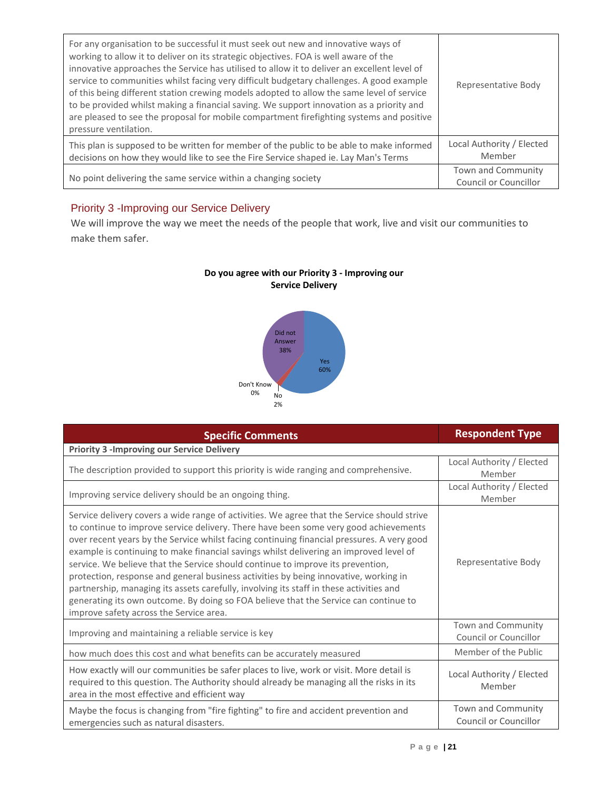| For any organisation to be successful it must seek out new and innovative ways of<br>working to allow it to deliver on its strategic objectives. FOA is well aware of the<br>innovative approaches the Service has utilised to allow it to deliver an excellent level of<br>service to communities whilst facing very difficult budgetary challenges. A good example<br>of this being different station crewing models adopted to allow the same level of service<br>to be provided whilst making a financial saving. We support innovation as a priority and<br>are pleased to see the proposal for mobile compartment firefighting systems and positive<br>pressure ventilation. | Representative Body                         |
|------------------------------------------------------------------------------------------------------------------------------------------------------------------------------------------------------------------------------------------------------------------------------------------------------------------------------------------------------------------------------------------------------------------------------------------------------------------------------------------------------------------------------------------------------------------------------------------------------------------------------------------------------------------------------------|---------------------------------------------|
| This plan is supposed to be written for member of the public to be able to make informed<br>decisions on how they would like to see the Fire Service shaped ie. Lay Man's Terms                                                                                                                                                                                                                                                                                                                                                                                                                                                                                                    | Local Authority / Elected<br>Member         |
| No point delivering the same service within a changing society                                                                                                                                                                                                                                                                                                                                                                                                                                                                                                                                                                                                                     | Town and Community<br>Council or Councillor |

## Priority 3 -Improving our Service Delivery

We will improve the way we meet the needs of the people that work, live and visit our communities to make them safer.





| <b>Specific Comments</b>                                                                                                                                                                                                                                                                                                                                                                                                                                                                                                                                                                                                                                                                                                                                                             | <b>Respondent Type</b>                      |
|--------------------------------------------------------------------------------------------------------------------------------------------------------------------------------------------------------------------------------------------------------------------------------------------------------------------------------------------------------------------------------------------------------------------------------------------------------------------------------------------------------------------------------------------------------------------------------------------------------------------------------------------------------------------------------------------------------------------------------------------------------------------------------------|---------------------------------------------|
| <b>Priority 3 - Improving our Service Delivery</b>                                                                                                                                                                                                                                                                                                                                                                                                                                                                                                                                                                                                                                                                                                                                   |                                             |
| The description provided to support this priority is wide ranging and comprehensive.                                                                                                                                                                                                                                                                                                                                                                                                                                                                                                                                                                                                                                                                                                 | Local Authority / Elected<br>Member         |
| Improving service delivery should be an ongoing thing.                                                                                                                                                                                                                                                                                                                                                                                                                                                                                                                                                                                                                                                                                                                               | Local Authority / Elected<br>Member         |
| Service delivery covers a wide range of activities. We agree that the Service should strive<br>to continue to improve service delivery. There have been some very good achievements<br>over recent years by the Service whilst facing continuing financial pressures. A very good<br>example is continuing to make financial savings whilst delivering an improved level of<br>service. We believe that the Service should continue to improve its prevention,<br>protection, response and general business activities by being innovative, working in<br>partnership, managing its assets carefully, involving its staff in these activities and<br>generating its own outcome. By doing so FOA believe that the Service can continue to<br>improve safety across the Service area. | Representative Body                         |
| Improving and maintaining a reliable service is key                                                                                                                                                                                                                                                                                                                                                                                                                                                                                                                                                                                                                                                                                                                                  | Town and Community<br>Council or Councillor |
| how much does this cost and what benefits can be accurately measured                                                                                                                                                                                                                                                                                                                                                                                                                                                                                                                                                                                                                                                                                                                 | Member of the Public                        |
| How exactly will our communities be safer places to live, work or visit. More detail is<br>required to this question. The Authority should already be managing all the risks in its<br>area in the most effective and efficient way                                                                                                                                                                                                                                                                                                                                                                                                                                                                                                                                                  | Local Authority / Elected<br>Member         |
| Maybe the focus is changing from "fire fighting" to fire and accident prevention and<br>emergencies such as natural disasters.                                                                                                                                                                                                                                                                                                                                                                                                                                                                                                                                                                                                                                                       | Town and Community<br>Council or Councillor |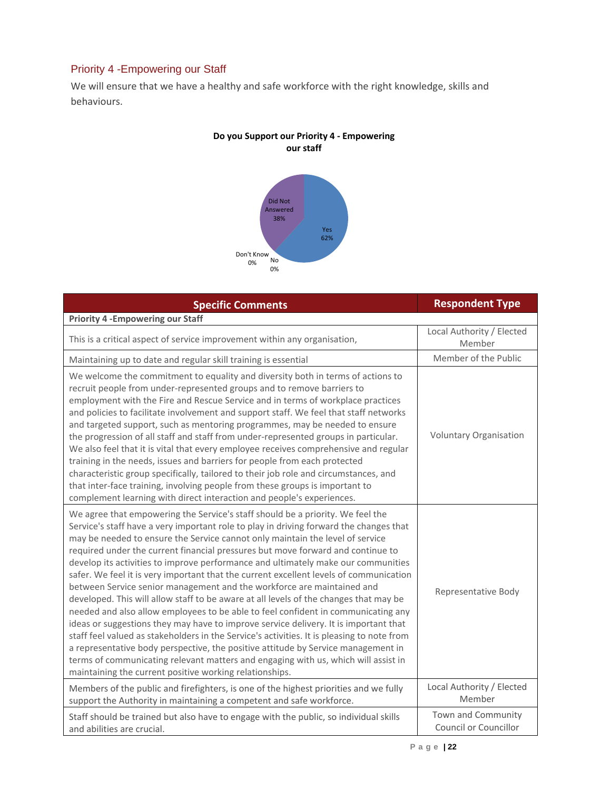## Priority 4 -Empowering our Staff

We will ensure that we have a healthy and safe workforce with the right knowledge, skills and behaviours.



| <b>Specific Comments</b>                                                                                                                                                                                                                                                                                                                                                                                                                                                                                                                                                                                                                                                                                                                                                                                                                                                                                                                                                                                                                                                                                                                                                                                        | <b>Respondent Type</b>                      |
|-----------------------------------------------------------------------------------------------------------------------------------------------------------------------------------------------------------------------------------------------------------------------------------------------------------------------------------------------------------------------------------------------------------------------------------------------------------------------------------------------------------------------------------------------------------------------------------------------------------------------------------------------------------------------------------------------------------------------------------------------------------------------------------------------------------------------------------------------------------------------------------------------------------------------------------------------------------------------------------------------------------------------------------------------------------------------------------------------------------------------------------------------------------------------------------------------------------------|---------------------------------------------|
| <b>Priority 4 - Empowering our Staff</b>                                                                                                                                                                                                                                                                                                                                                                                                                                                                                                                                                                                                                                                                                                                                                                                                                                                                                                                                                                                                                                                                                                                                                                        |                                             |
| This is a critical aspect of service improvement within any organisation,                                                                                                                                                                                                                                                                                                                                                                                                                                                                                                                                                                                                                                                                                                                                                                                                                                                                                                                                                                                                                                                                                                                                       | Local Authority / Elected<br>Member         |
| Maintaining up to date and regular skill training is essential                                                                                                                                                                                                                                                                                                                                                                                                                                                                                                                                                                                                                                                                                                                                                                                                                                                                                                                                                                                                                                                                                                                                                  | Member of the Public                        |
| We welcome the commitment to equality and diversity both in terms of actions to<br>recruit people from under-represented groups and to remove barriers to<br>employment with the Fire and Rescue Service and in terms of workplace practices<br>and policies to facilitate involvement and support staff. We feel that staff networks<br>and targeted support, such as mentoring programmes, may be needed to ensure<br>the progression of all staff and staff from under-represented groups in particular.<br>We also feel that it is vital that every employee receives comprehensive and regular<br>training in the needs, issues and barriers for people from each protected<br>characteristic group specifically, tailored to their job role and circumstances, and<br>that inter-face training, involving people from these groups is important to<br>complement learning with direct interaction and people's experiences.                                                                                                                                                                                                                                                                               | <b>Voluntary Organisation</b>               |
| We agree that empowering the Service's staff should be a priority. We feel the<br>Service's staff have a very important role to play in driving forward the changes that<br>may be needed to ensure the Service cannot only maintain the level of service<br>required under the current financial pressures but move forward and continue to<br>develop its activities to improve performance and ultimately make our communities<br>safer. We feel it is very important that the current excellent levels of communication<br>between Service senior management and the workforce are maintained and<br>developed. This will allow staff to be aware at all levels of the changes that may be<br>needed and also allow employees to be able to feel confident in communicating any<br>ideas or suggestions they may have to improve service delivery. It is important that<br>staff feel valued as stakeholders in the Service's activities. It is pleasing to note from<br>a representative body perspective, the positive attitude by Service management in<br>terms of communicating relevant matters and engaging with us, which will assist in<br>maintaining the current positive working relationships. | Representative Body                         |
| Members of the public and firefighters, is one of the highest priorities and we fully<br>support the Authority in maintaining a competent and safe workforce.                                                                                                                                                                                                                                                                                                                                                                                                                                                                                                                                                                                                                                                                                                                                                                                                                                                                                                                                                                                                                                                   | Local Authority / Elected<br>Member         |
| Staff should be trained but also have to engage with the public, so individual skills<br>and abilities are crucial.                                                                                                                                                                                                                                                                                                                                                                                                                                                                                                                                                                                                                                                                                                                                                                                                                                                                                                                                                                                                                                                                                             | Town and Community<br>Council or Councillor |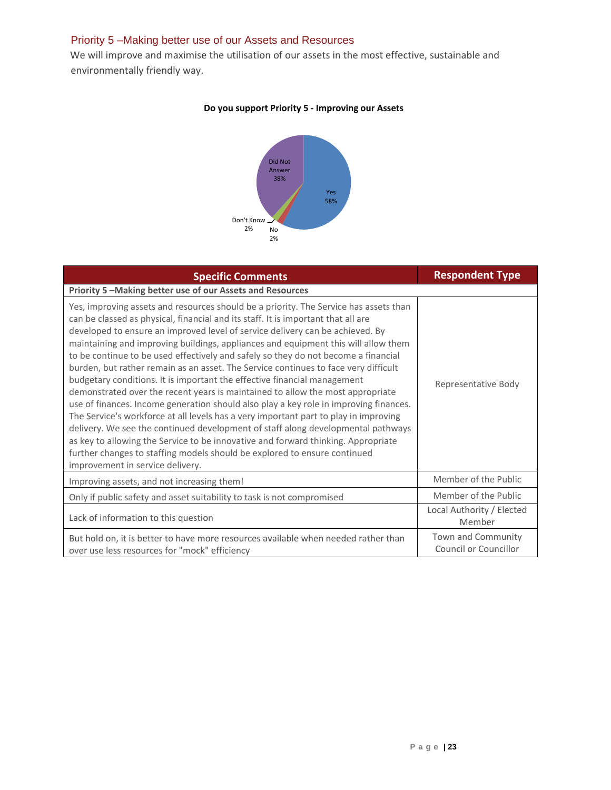#### Priority 5 –Making better use of our Assets and Resources

We will improve and maximise the utilisation of our assets in the most effective, sustainable and environmentally friendly way.

#### **Do you support Priority 5 - Improving our Assets**



| <b>Specific Comments</b>                                                                                                                                                                                                                                                                                                                                                                                                                                                                                                                                                                                                                                                                                                                                                                                                                                                                                                                                                                                                                                                                                                                                                | <b>Respondent Type</b>                      |
|-------------------------------------------------------------------------------------------------------------------------------------------------------------------------------------------------------------------------------------------------------------------------------------------------------------------------------------------------------------------------------------------------------------------------------------------------------------------------------------------------------------------------------------------------------------------------------------------------------------------------------------------------------------------------------------------------------------------------------------------------------------------------------------------------------------------------------------------------------------------------------------------------------------------------------------------------------------------------------------------------------------------------------------------------------------------------------------------------------------------------------------------------------------------------|---------------------------------------------|
| Priority 5 - Making better use of our Assets and Resources                                                                                                                                                                                                                                                                                                                                                                                                                                                                                                                                                                                                                                                                                                                                                                                                                                                                                                                                                                                                                                                                                                              |                                             |
| Yes, improving assets and resources should be a priority. The Service has assets than<br>can be classed as physical, financial and its staff. It is important that all are<br>developed to ensure an improved level of service delivery can be achieved. By<br>maintaining and improving buildings, appliances and equipment this will allow them<br>to be continue to be used effectively and safely so they do not become a financial<br>burden, but rather remain as an asset. The Service continues to face very difficult<br>budgetary conditions. It is important the effective financial management<br>demonstrated over the recent years is maintained to allow the most appropriate<br>use of finances. Income generation should also play a key role in improving finances.<br>The Service's workforce at all levels has a very important part to play in improving<br>delivery. We see the continued development of staff along developmental pathways<br>as key to allowing the Service to be innovative and forward thinking. Appropriate<br>further changes to staffing models should be explored to ensure continued<br>improvement in service delivery. | Representative Body                         |
| Improving assets, and not increasing them!                                                                                                                                                                                                                                                                                                                                                                                                                                                                                                                                                                                                                                                                                                                                                                                                                                                                                                                                                                                                                                                                                                                              | Member of the Public                        |
| Only if public safety and asset suitability to task is not compromised                                                                                                                                                                                                                                                                                                                                                                                                                                                                                                                                                                                                                                                                                                                                                                                                                                                                                                                                                                                                                                                                                                  | Member of the Public                        |
| Lack of information to this question                                                                                                                                                                                                                                                                                                                                                                                                                                                                                                                                                                                                                                                                                                                                                                                                                                                                                                                                                                                                                                                                                                                                    | Local Authority / Elected<br>Member         |
| But hold on, it is better to have more resources available when needed rather than<br>over use less resources for "mock" efficiency                                                                                                                                                                                                                                                                                                                                                                                                                                                                                                                                                                                                                                                                                                                                                                                                                                                                                                                                                                                                                                     | Town and Community<br>Council or Councillor |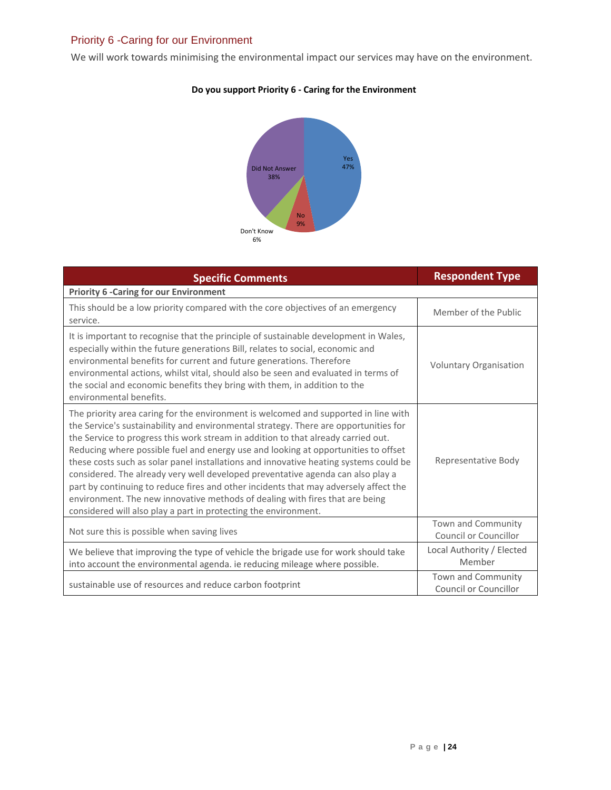## Priority 6 -Caring for our Environment

We will work towards minimising the environmental impact our services may have on the environment.



| <b>Specific Comments</b>                                                                                                                                                                                                                                                                                                                                                                                                                                                                                                                                                                                                                                                                                                                                                      | <b>Respondent Type</b>                      |
|-------------------------------------------------------------------------------------------------------------------------------------------------------------------------------------------------------------------------------------------------------------------------------------------------------------------------------------------------------------------------------------------------------------------------------------------------------------------------------------------------------------------------------------------------------------------------------------------------------------------------------------------------------------------------------------------------------------------------------------------------------------------------------|---------------------------------------------|
| <b>Priority 6 -Caring for our Environment</b>                                                                                                                                                                                                                                                                                                                                                                                                                                                                                                                                                                                                                                                                                                                                 |                                             |
| This should be a low priority compared with the core objectives of an emergency<br>service.                                                                                                                                                                                                                                                                                                                                                                                                                                                                                                                                                                                                                                                                                   | Member of the Public                        |
| It is important to recognise that the principle of sustainable development in Wales,<br>especially within the future generations Bill, relates to social, economic and<br>environmental benefits for current and future generations. Therefore<br>environmental actions, whilst vital, should also be seen and evaluated in terms of<br>the social and economic benefits they bring with them, in addition to the<br>environmental benefits.                                                                                                                                                                                                                                                                                                                                  | <b>Voluntary Organisation</b>               |
| The priority area caring for the environment is welcomed and supported in line with<br>the Service's sustainability and environmental strategy. There are opportunities for<br>the Service to progress this work stream in addition to that already carried out.<br>Reducing where possible fuel and energy use and looking at opportunities to offset<br>these costs such as solar panel installations and innovative heating systems could be<br>considered. The already very well developed preventative agenda can also play a<br>part by continuing to reduce fires and other incidents that may adversely affect the<br>environment. The new innovative methods of dealing with fires that are being<br>considered will also play a part in protecting the environment. | Representative Body                         |
| Not sure this is possible when saving lives                                                                                                                                                                                                                                                                                                                                                                                                                                                                                                                                                                                                                                                                                                                                   | Town and Community<br>Council or Councillor |
| We believe that improving the type of vehicle the brigade use for work should take<br>into account the environmental agenda. ie reducing mileage where possible.                                                                                                                                                                                                                                                                                                                                                                                                                                                                                                                                                                                                              | Local Authority / Elected<br>Member         |
| sustainable use of resources and reduce carbon footprint                                                                                                                                                                                                                                                                                                                                                                                                                                                                                                                                                                                                                                                                                                                      | Town and Community<br>Council or Councillor |

## **Do you support Priority 6 - Caring for the Environment**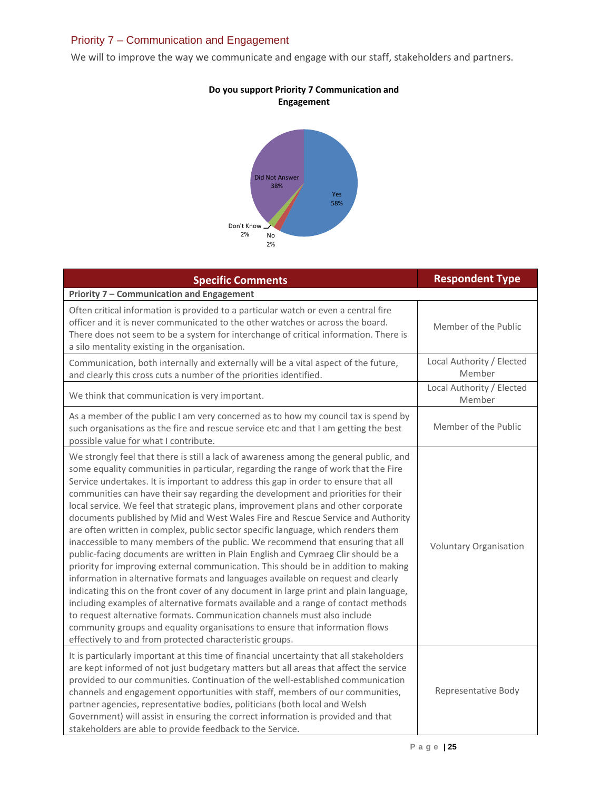## Priority 7 – Communication and Engagement

We will to improve the way we communicate and engage with our staff, stakeholders and partners.



| <b>Specific Comments</b>                                                                                                                                                                                                                                                                                                                                                                                                                                                                                                                                                                                                                                                                                                                                                                                                                                                                                                                                                                                                                                                                                                                                                                                                                                                                                                                                                          | <b>Respondent Type</b>              |
|-----------------------------------------------------------------------------------------------------------------------------------------------------------------------------------------------------------------------------------------------------------------------------------------------------------------------------------------------------------------------------------------------------------------------------------------------------------------------------------------------------------------------------------------------------------------------------------------------------------------------------------------------------------------------------------------------------------------------------------------------------------------------------------------------------------------------------------------------------------------------------------------------------------------------------------------------------------------------------------------------------------------------------------------------------------------------------------------------------------------------------------------------------------------------------------------------------------------------------------------------------------------------------------------------------------------------------------------------------------------------------------|-------------------------------------|
| <b>Priority 7 - Communication and Engagement</b>                                                                                                                                                                                                                                                                                                                                                                                                                                                                                                                                                                                                                                                                                                                                                                                                                                                                                                                                                                                                                                                                                                                                                                                                                                                                                                                                  |                                     |
| Often critical information is provided to a particular watch or even a central fire<br>officer and it is never communicated to the other watches or across the board.<br>There does not seem to be a system for interchange of critical information. There is<br>a silo mentality existing in the organisation.                                                                                                                                                                                                                                                                                                                                                                                                                                                                                                                                                                                                                                                                                                                                                                                                                                                                                                                                                                                                                                                                   | Member of the Public                |
| Communication, both internally and externally will be a vital aspect of the future,<br>and clearly this cross cuts a number of the priorities identified.                                                                                                                                                                                                                                                                                                                                                                                                                                                                                                                                                                                                                                                                                                                                                                                                                                                                                                                                                                                                                                                                                                                                                                                                                         | Local Authority / Elected<br>Member |
| We think that communication is very important.                                                                                                                                                                                                                                                                                                                                                                                                                                                                                                                                                                                                                                                                                                                                                                                                                                                                                                                                                                                                                                                                                                                                                                                                                                                                                                                                    | Local Authority / Elected<br>Member |
| As a member of the public I am very concerned as to how my council tax is spend by<br>such organisations as the fire and rescue service etc and that I am getting the best<br>possible value for what I contribute.                                                                                                                                                                                                                                                                                                                                                                                                                                                                                                                                                                                                                                                                                                                                                                                                                                                                                                                                                                                                                                                                                                                                                               | Member of the Public                |
| We strongly feel that there is still a lack of awareness among the general public, and<br>some equality communities in particular, regarding the range of work that the Fire<br>Service undertakes. It is important to address this gap in order to ensure that all<br>communities can have their say regarding the development and priorities for their<br>local service. We feel that strategic plans, improvement plans and other corporate<br>documents published by Mid and West Wales Fire and Rescue Service and Authority<br>are often written in complex, public sector specific language, which renders them<br>inaccessible to many members of the public. We recommend that ensuring that all<br>public-facing documents are written in Plain English and Cymraeg Clir should be a<br>priority for improving external communication. This should be in addition to making<br>information in alternative formats and languages available on request and clearly<br>indicating this on the front cover of any document in large print and plain language,<br>including examples of alternative formats available and a range of contact methods<br>to request alternative formats. Communication channels must also include<br>community groups and equality organisations to ensure that information flows<br>effectively to and from protected characteristic groups. | Voluntary Organisation              |
| It is particularly important at this time of financial uncertainty that all stakeholders<br>are kept informed of not just budgetary matters but all areas that affect the service<br>provided to our communities. Continuation of the well-established communication<br>channels and engagement opportunities with staff, members of our communities,<br>partner agencies, representative bodies, politicians (both local and Welsh<br>Government) will assist in ensuring the correct information is provided and that<br>stakeholders are able to provide feedback to the Service.                                                                                                                                                                                                                                                                                                                                                                                                                                                                                                                                                                                                                                                                                                                                                                                              | Representative Body                 |

#### **Do you support Priority 7 Communication and Engagement**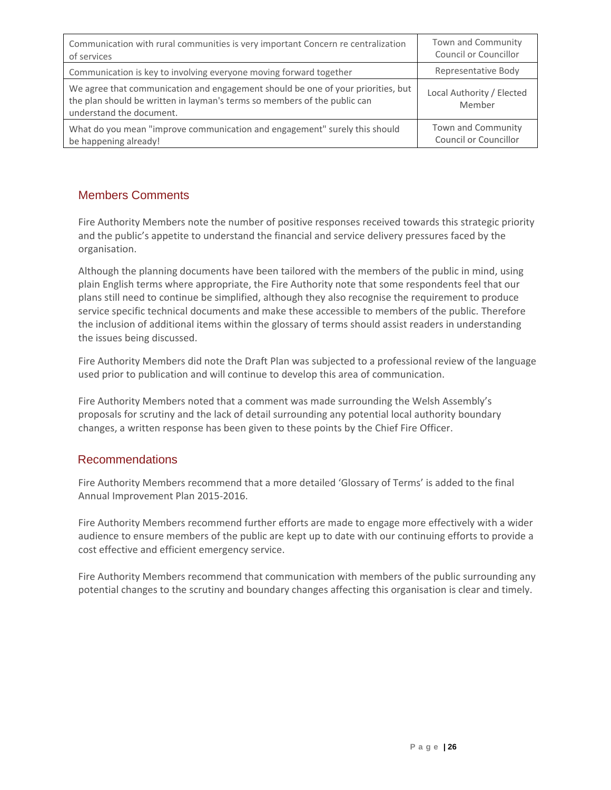| Communication with rural communities is very important Concern re centralization                                                                                                          | Town and Community                  |
|-------------------------------------------------------------------------------------------------------------------------------------------------------------------------------------------|-------------------------------------|
| of services                                                                                                                                                                               | Council or Councillor               |
| Communication is key to involving everyone moving forward together                                                                                                                        | Representative Body                 |
| We agree that communication and engagement should be one of your priorities, but<br>the plan should be written in layman's terms so members of the public can<br>understand the document. | Local Authority / Elected<br>Member |
| What do you mean "improve communication and engagement" surely this should                                                                                                                | Town and Community                  |
| be happening already!                                                                                                                                                                     | <b>Council or Councillor</b>        |

### Members Comments

Fire Authority Members note the number of positive responses received towards this strategic priority and the public's appetite to understand the financial and service delivery pressures faced by the organisation.

Although the planning documents have been tailored with the members of the public in mind, using plain English terms where appropriate, the Fire Authority note that some respondents feel that our plans still need to continue be simplified, although they also recognise the requirement to produce service specific technical documents and make these accessible to members of the public. Therefore the inclusion of additional items within the glossary of terms should assist readers in understanding the issues being discussed.

Fire Authority Members did note the Draft Plan was subjected to a professional review of the language used prior to publication and will continue to develop this area of communication.

Fire Authority Members noted that a comment was made surrounding the Welsh Assembly's proposals for scrutiny and the lack of detail surrounding any potential local authority boundary changes, a written response has been given to these points by the Chief Fire Officer.

### Recommendations

Fire Authority Members recommend that a more detailed 'Glossary of Terms' is added to the final Annual Improvement Plan 2015-2016.

Fire Authority Members recommend further efforts are made to engage more effectively with a wider audience to ensure members of the public are kept up to date with our continuing efforts to provide a cost effective and efficient emergency service.

Fire Authority Members recommend that communication with members of the public surrounding any potential changes to the scrutiny and boundary changes affecting this organisation is clear and timely.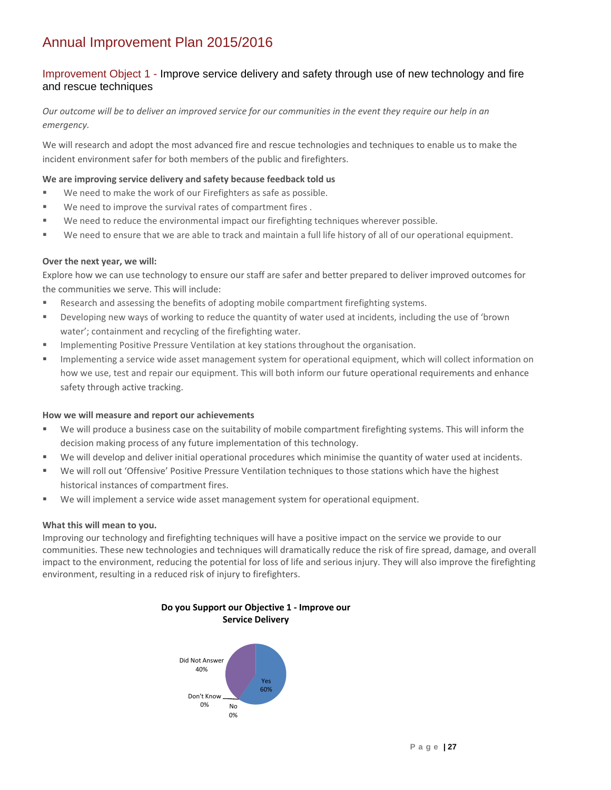## Annual Improvement Plan 2015/2016

#### Improvement Object 1 - Improve service delivery and safety through use of new technology and fire and rescue techniques

#### *Our outcome will be to deliver an improved service for our communities in the event they require our help in an emergency.*

We will research and adopt the most advanced fire and rescue technologies and techniques to enable us to make the incident environment safer for both members of the public and firefighters.

#### **We are improving service delivery and safety because feedback told us**

- We need to make the work of our Firefighters as safe as possible.
- We need to improve the survival rates of compartment fires.
- We need to reduce the environmental impact our firefighting techniques wherever possible.
- We need to ensure that we are able to track and maintain a full life history of all of our operational equipment.

#### **Over the next year, we will:**

Explore how we can use technology to ensure our staff are safer and better prepared to deliver improved outcomes for the communities we serve. This will include:

- **Research and assessing the benefits of adopting mobile compartment firefighting systems.**
- Developing new ways of working to reduce the quantity of water used at incidents, including the use of 'brown water'; containment and recycling of the firefighting water.
- **IMPLEMENTER IMPLE PRESS** Pressure Ventilation at key stations throughout the organisation.
- **Implementing a service wide asset management system for operational equipment, which will collect information on** how we use, test and repair our equipment. This will both inform our future operational requirements and enhance safety through active tracking.

#### **How we will measure and report our achievements**

- We will produce a business case on the suitability of mobile compartment firefighting systems. This will inform the decision making process of any future implementation of this technology.
- We will develop and deliver initial operational procedures which minimise the quantity of water used at incidents.
- We will roll out 'Offensive' Positive Pressure Ventilation techniques to those stations which have the highest historical instances of compartment fires.
- We will implement a service wide asset management system for operational equipment.

#### **What this will mean to you.**

Improving our technology and firefighting techniques will have a positive impact on the service we provide to our communities. These new technologies and techniques will dramatically reduce the risk of fire spread, damage, and overall impact to the environment, reducing the potential for loss of life and serious injury. They will also improve the firefighting environment, resulting in a reduced risk of injury to firefighters.



**Do you Support our Objective 1 - Improve our**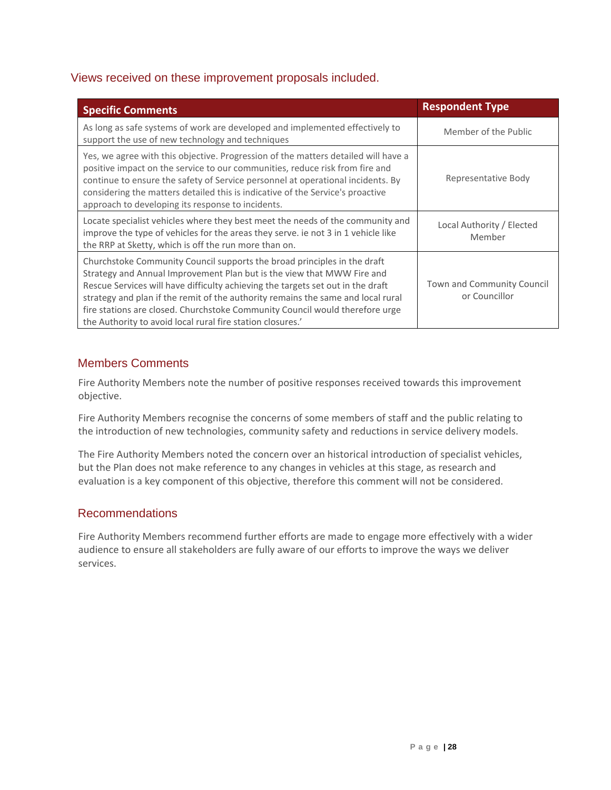## Views received on these improvement proposals included.

| <b>Specific Comments</b>                                                                                                                                                                                                                                                                                                                                                                                                                                                | <b>Respondent Type</b>                      |
|-------------------------------------------------------------------------------------------------------------------------------------------------------------------------------------------------------------------------------------------------------------------------------------------------------------------------------------------------------------------------------------------------------------------------------------------------------------------------|---------------------------------------------|
| As long as safe systems of work are developed and implemented effectively to<br>support the use of new technology and techniques                                                                                                                                                                                                                                                                                                                                        | Member of the Public                        |
| Yes, we agree with this objective. Progression of the matters detailed will have a<br>positive impact on the service to our communities, reduce risk from fire and<br>continue to ensure the safety of Service personnel at operational incidents. By<br>considering the matters detailed this is indicative of the Service's proactive<br>approach to developing its response to incidents.                                                                            | Representative Body                         |
| Locate specialist vehicles where they best meet the needs of the community and<br>improve the type of vehicles for the areas they serve. ie not 3 in 1 vehicle like<br>the RRP at Sketty, which is off the run more than on.                                                                                                                                                                                                                                            | Local Authority / Elected<br>Member         |
| Churchstoke Community Council supports the broad principles in the draft<br>Strategy and Annual Improvement Plan but is the view that MWW Fire and<br>Rescue Services will have difficulty achieving the targets set out in the draft<br>strategy and plan if the remit of the authority remains the same and local rural<br>fire stations are closed. Churchstoke Community Council would therefore urge<br>the Authority to avoid local rural fire station closures.' | Town and Community Council<br>or Councillor |

## Members Comments

Fire Authority Members note the number of positive responses received towards this improvement objective.

Fire Authority Members recognise the concerns of some members of staff and the public relating to the introduction of new technologies, community safety and reductions in service delivery models.

The Fire Authority Members noted the concern over an historical introduction of specialist vehicles, but the Plan does not make reference to any changes in vehicles at this stage, as research and evaluation is a key component of this objective, therefore this comment will not be considered.

### Recommendations

Fire Authority Members recommend further efforts are made to engage more effectively with a wider audience to ensure all stakeholders are fully aware of our efforts to improve the ways we deliver services.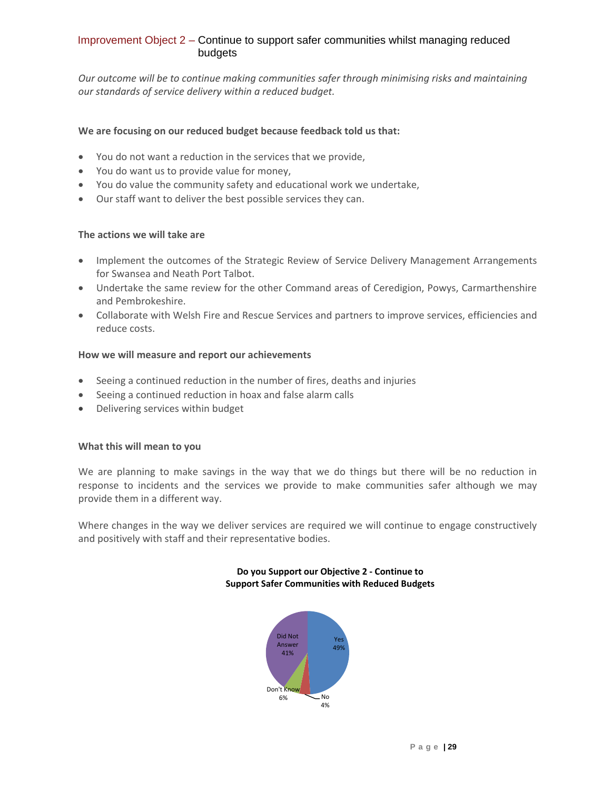#### Improvement Object 2 – Continue to support safer communities whilst managing reduced budgets

*Our outcome will be to continue making communities safer through minimising risks and maintaining our standards of service delivery within a reduced budget.*

#### **We are focusing on our reduced budget because feedback told us that:**

- You do not want a reduction in the services that we provide,
- You do want us to provide value for money,
- You do value the community safety and educational work we undertake,
- Our staff want to deliver the best possible services they can.

#### **The actions we will take are**

- Implement the outcomes of the Strategic Review of Service Delivery Management Arrangements for Swansea and Neath Port Talbot.
- Undertake the same review for the other Command areas of Ceredigion, Powys, Carmarthenshire and Pembrokeshire.
- Collaborate with Welsh Fire and Rescue Services and partners to improve services, efficiencies and reduce costs.

#### **How we will measure and report our achievements**

- Seeing a continued reduction in the number of fires, deaths and injuries
- Seeing a continued reduction in hoax and false alarm calls
- Delivering services within budget

#### **What this will mean to you**

We are planning to make savings in the way that we do things but there will be no reduction in response to incidents and the services we provide to make communities safer although we may provide them in a different way.

Where changes in the way we deliver services are required we will continue to engage constructively and positively with staff and their representative bodies.

#### **Do you Support our Objective 2 - Continue to Support Safer Communities with Reduced Budgets**

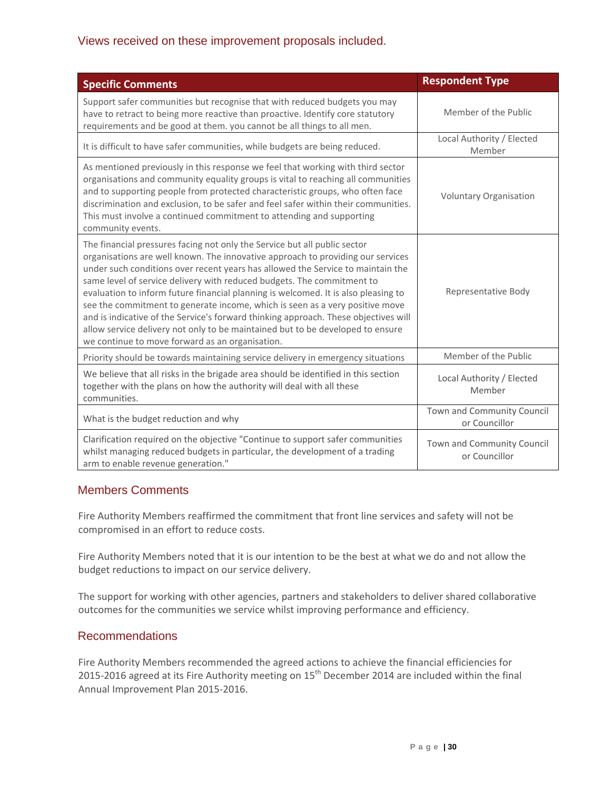## Views received on these improvement proposals included.

| <b>Specific Comments</b>                                                                                                                                                                                                                                                                                                                                                                                                                                                                                                                                                                                                                                                                                                    | <b>Respondent Type</b>                      |
|-----------------------------------------------------------------------------------------------------------------------------------------------------------------------------------------------------------------------------------------------------------------------------------------------------------------------------------------------------------------------------------------------------------------------------------------------------------------------------------------------------------------------------------------------------------------------------------------------------------------------------------------------------------------------------------------------------------------------------|---------------------------------------------|
| Support safer communities but recognise that with reduced budgets you may<br>have to retract to being more reactive than proactive. Identify core statutory<br>requirements and be good at them. you cannot be all things to all men.                                                                                                                                                                                                                                                                                                                                                                                                                                                                                       | Member of the Public                        |
| It is difficult to have safer communities, while budgets are being reduced.                                                                                                                                                                                                                                                                                                                                                                                                                                                                                                                                                                                                                                                 | Local Authority / Elected<br>Member         |
| As mentioned previously in this response we feel that working with third sector<br>organisations and community equality groups is vital to reaching all communities<br>and to supporting people from protected characteristic groups, who often face<br>discrimination and exclusion, to be safer and feel safer within their communities.<br>This must involve a continued commitment to attending and supporting<br>community events.                                                                                                                                                                                                                                                                                     | <b>Voluntary Organisation</b>               |
| The financial pressures facing not only the Service but all public sector<br>organisations are well known. The innovative approach to providing our services<br>under such conditions over recent years has allowed the Service to maintain the<br>same level of service delivery with reduced budgets. The commitment to<br>evaluation to inform future financial planning is welcomed. It is also pleasing to<br>see the commitment to generate income, which is seen as a very positive move<br>and is indicative of the Service's forward thinking approach. These objectives will<br>allow service delivery not only to be maintained but to be developed to ensure<br>we continue to move forward as an organisation. | Representative Body                         |
| Priority should be towards maintaining service delivery in emergency situations                                                                                                                                                                                                                                                                                                                                                                                                                                                                                                                                                                                                                                             | Member of the Public                        |
| We believe that all risks in the brigade area should be identified in this section<br>together with the plans on how the authority will deal with all these<br>communities.                                                                                                                                                                                                                                                                                                                                                                                                                                                                                                                                                 | Local Authority / Elected<br>Member         |
| What is the budget reduction and why                                                                                                                                                                                                                                                                                                                                                                                                                                                                                                                                                                                                                                                                                        | Town and Community Council<br>or Councillor |
| Clarification required on the objective "Continue to support safer communities<br>whilst managing reduced budgets in particular, the development of a trading<br>arm to enable revenue generation."                                                                                                                                                                                                                                                                                                                                                                                                                                                                                                                         | Town and Community Council<br>or Councillor |

## Members Comments

Fire Authority Members reaffirmed the commitment that front line services and safety will not be compromised in an effort to reduce costs.

Fire Authority Members noted that it is our intention to be the best at what we do and not allow the budget reductions to impact on our service delivery.

The support for working with other agencies, partners and stakeholders to deliver shared collaborative outcomes for the communities we service whilst improving performance and efficiency.

### Recommendations

Fire Authority Members recommended the agreed actions to achieve the financial efficiencies for 2015-2016 agreed at its Fire Authority meeting on  $15^{th}$  December 2014 are included within the final Annual Improvement Plan 2015-2016.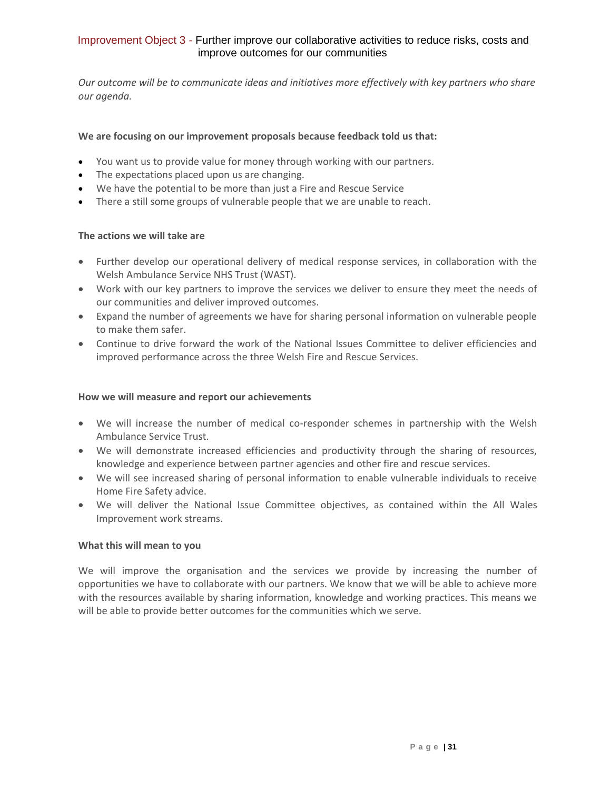#### Improvement Object 3 - Further improve our collaborative activities to reduce risks, costs and improve outcomes for our communities

*Our outcome will be to communicate ideas and initiatives more effectively with key partners who share our agenda.*

#### **We are focusing on our improvement proposals because feedback told us that:**

- You want us to provide value for money through working with our partners.
- The expectations placed upon us are changing.
- We have the potential to be more than just a Fire and Rescue Service
- There a still some groups of vulnerable people that we are unable to reach.

#### **The actions we will take are**

- Further develop our operational delivery of medical response services, in collaboration with the Welsh Ambulance Service NHS Trust (WAST).
- Work with our key partners to improve the services we deliver to ensure they meet the needs of our communities and deliver improved outcomes.
- Expand the number of agreements we have for sharing personal information on vulnerable people to make them safer.
- Continue to drive forward the work of the National Issues Committee to deliver efficiencies and improved performance across the three Welsh Fire and Rescue Services.

#### **How we will measure and report our achievements**

- We will increase the number of medical co-responder schemes in partnership with the Welsh Ambulance Service Trust.
- We will demonstrate increased efficiencies and productivity through the sharing of resources, knowledge and experience between partner agencies and other fire and rescue services.
- We will see increased sharing of personal information to enable vulnerable individuals to receive Home Fire Safety advice.
- We will deliver the National Issue Committee objectives, as contained within the All Wales Improvement work streams.

#### **What this will mean to you**

We will improve the organisation and the services we provide by increasing the number of opportunities we have to collaborate with our partners. We know that we will be able to achieve more with the resources available by sharing information, knowledge and working practices. This means we will be able to provide better outcomes for the communities which we serve.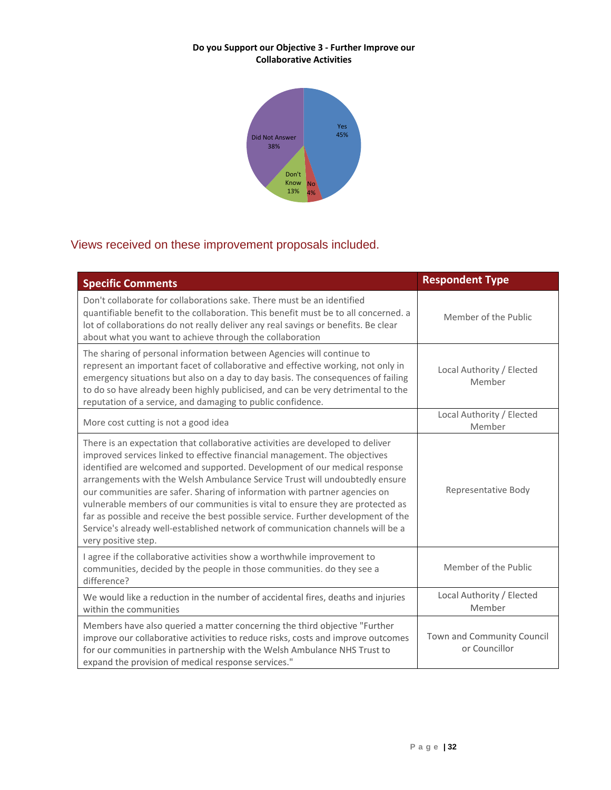#### **Do you Support our Objective 3 - Further Improve our Collaborative Activities**



## Views received on these improvement proposals included.

| <b>Specific Comments</b>                                                                                                                                                                                                                                                                                                                                                                                                                                                                                                                                                                                                                                                                | <b>Respondent Type</b>                      |
|-----------------------------------------------------------------------------------------------------------------------------------------------------------------------------------------------------------------------------------------------------------------------------------------------------------------------------------------------------------------------------------------------------------------------------------------------------------------------------------------------------------------------------------------------------------------------------------------------------------------------------------------------------------------------------------------|---------------------------------------------|
| Don't collaborate for collaborations sake. There must be an identified<br>quantifiable benefit to the collaboration. This benefit must be to all concerned. a<br>lot of collaborations do not really deliver any real savings or benefits. Be clear<br>about what you want to achieve through the collaboration                                                                                                                                                                                                                                                                                                                                                                         | Member of the Public                        |
| The sharing of personal information between Agencies will continue to<br>represent an important facet of collaborative and effective working, not only in<br>emergency situations but also on a day to day basis. The consequences of failing<br>to do so have already been highly publicised, and can be very detrimental to the<br>reputation of a service, and damaging to public confidence.                                                                                                                                                                                                                                                                                        | Local Authority / Elected<br>Member         |
| More cost cutting is not a good idea                                                                                                                                                                                                                                                                                                                                                                                                                                                                                                                                                                                                                                                    | Local Authority / Elected<br>Member         |
| There is an expectation that collaborative activities are developed to deliver<br>improved services linked to effective financial management. The objectives<br>identified are welcomed and supported. Development of our medical response<br>arrangements with the Welsh Ambulance Service Trust will undoubtedly ensure<br>our communities are safer. Sharing of information with partner agencies on<br>vulnerable members of our communities is vital to ensure they are protected as<br>far as possible and receive the best possible service. Further development of the<br>Service's already well-established network of communication channels will be a<br>very positive step. | Representative Body                         |
| I agree if the collaborative activities show a worthwhile improvement to<br>communities, decided by the people in those communities. do they see a<br>difference?                                                                                                                                                                                                                                                                                                                                                                                                                                                                                                                       | Member of the Public                        |
| We would like a reduction in the number of accidental fires, deaths and injuries<br>within the communities                                                                                                                                                                                                                                                                                                                                                                                                                                                                                                                                                                              | Local Authority / Elected<br>Member         |
| Members have also queried a matter concerning the third objective "Further<br>improve our collaborative activities to reduce risks, costs and improve outcomes<br>for our communities in partnership with the Welsh Ambulance NHS Trust to<br>expand the provision of medical response services."                                                                                                                                                                                                                                                                                                                                                                                       | Town and Community Council<br>or Councillor |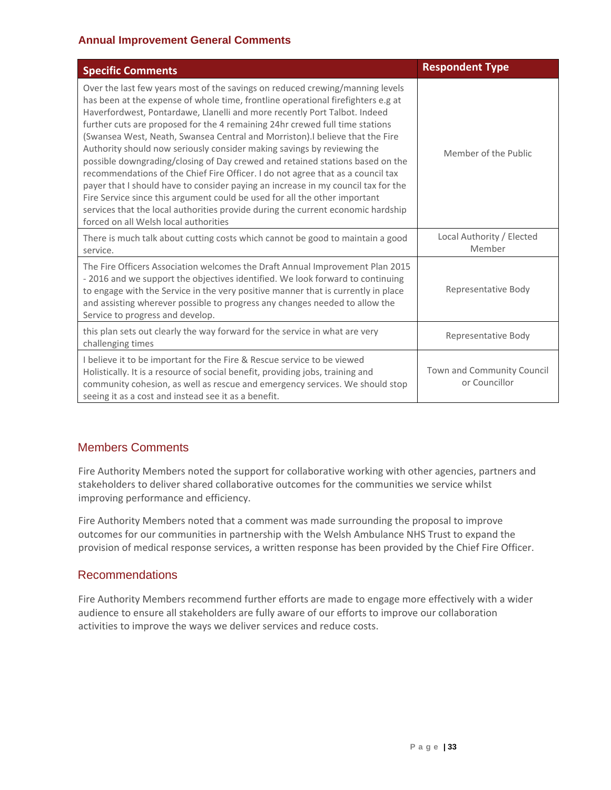#### **Annual Improvement General Comments**

| <b>Specific Comments</b>                                                                                                                                                                                                                                                                                                                                                                                                                                                                                                                                                                                                                                                                                                                                                                                                                                                                                                                                       | <b>Respondent Type</b>                      |
|----------------------------------------------------------------------------------------------------------------------------------------------------------------------------------------------------------------------------------------------------------------------------------------------------------------------------------------------------------------------------------------------------------------------------------------------------------------------------------------------------------------------------------------------------------------------------------------------------------------------------------------------------------------------------------------------------------------------------------------------------------------------------------------------------------------------------------------------------------------------------------------------------------------------------------------------------------------|---------------------------------------------|
| Over the last few years most of the savings on reduced crewing/manning levels<br>has been at the expense of whole time, frontline operational firefighters e.g at<br>Haverfordwest, Pontardawe, Llanelli and more recently Port Talbot. Indeed<br>further cuts are proposed for the 4 remaining 24hr crewed full time stations<br>(Swansea West, Neath, Swansea Central and Morriston). I believe that the Fire<br>Authority should now seriously consider making savings by reviewing the<br>possible downgrading/closing of Day crewed and retained stations based on the<br>recommendations of the Chief Fire Officer. I do not agree that as a council tax<br>payer that I should have to consider paying an increase in my council tax for the<br>Fire Service since this argument could be used for all the other important<br>services that the local authorities provide during the current economic hardship<br>forced on all Welsh local authorities | Member of the Public                        |
| There is much talk about cutting costs which cannot be good to maintain a good<br>service.                                                                                                                                                                                                                                                                                                                                                                                                                                                                                                                                                                                                                                                                                                                                                                                                                                                                     | Local Authority / Elected<br>Member         |
| The Fire Officers Association welcomes the Draft Annual Improvement Plan 2015<br>- 2016 and we support the objectives identified. We look forward to continuing<br>to engage with the Service in the very positive manner that is currently in place<br>and assisting wherever possible to progress any changes needed to allow the<br>Service to progress and develop.                                                                                                                                                                                                                                                                                                                                                                                                                                                                                                                                                                                        | Representative Body                         |
| this plan sets out clearly the way forward for the service in what are very<br>challenging times                                                                                                                                                                                                                                                                                                                                                                                                                                                                                                                                                                                                                                                                                                                                                                                                                                                               | Representative Body                         |
| I believe it to be important for the Fire & Rescue service to be viewed<br>Holistically. It is a resource of social benefit, providing jobs, training and<br>community cohesion, as well as rescue and emergency services. We should stop<br>seeing it as a cost and instead see it as a benefit.                                                                                                                                                                                                                                                                                                                                                                                                                                                                                                                                                                                                                                                              | Town and Community Council<br>or Councillor |

## Members Comments

Fire Authority Members noted the support for collaborative working with other agencies, partners and stakeholders to deliver shared collaborative outcomes for the communities we service whilst improving performance and efficiency.

Fire Authority Members noted that a comment was made surrounding the proposal to improve outcomes for our communities in partnership with the Welsh Ambulance NHS Trust to expand the provision of medical response services, a written response has been provided by the Chief Fire Officer.

### Recommendations

Fire Authority Members recommend further efforts are made to engage more effectively with a wider audience to ensure all stakeholders are fully aware of our efforts to improve our collaboration activities to improve the ways we deliver services and reduce costs.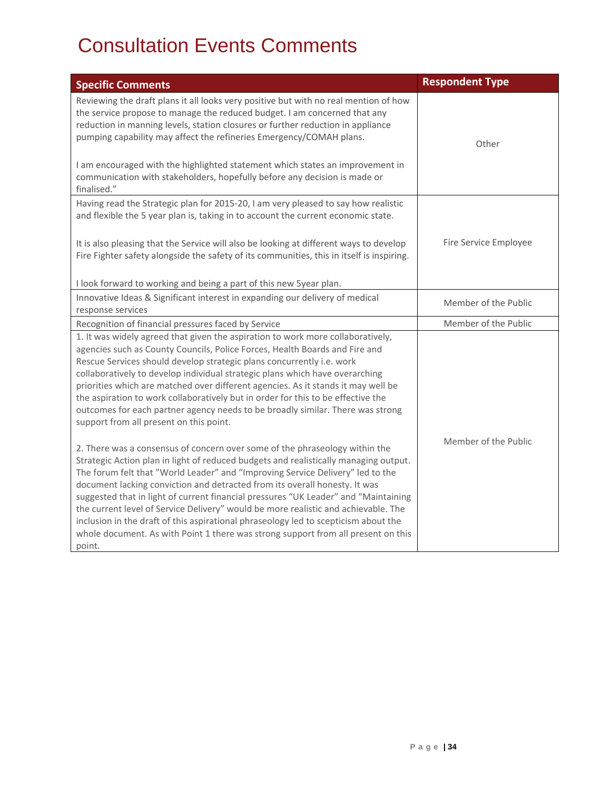## Consultation Events Comments

<span id="page-34-0"></span>

| <b>Specific Comments</b>                                                                                                                                                                                                                                                                                                                                                                                                                                                                                                                                                                                                                                                                               | <b>Respondent Type</b> |
|--------------------------------------------------------------------------------------------------------------------------------------------------------------------------------------------------------------------------------------------------------------------------------------------------------------------------------------------------------------------------------------------------------------------------------------------------------------------------------------------------------------------------------------------------------------------------------------------------------------------------------------------------------------------------------------------------------|------------------------|
| Reviewing the draft plans it all looks very positive but with no real mention of how<br>the service propose to manage the reduced budget. I am concerned that any<br>reduction in manning levels, station closures or further reduction in appliance<br>pumping capability may affect the refineries Emergency/COMAH plans.                                                                                                                                                                                                                                                                                                                                                                            | Other                  |
| I am encouraged with the highlighted statement which states an improvement in<br>communication with stakeholders, hopefully before any decision is made or<br>finalised."                                                                                                                                                                                                                                                                                                                                                                                                                                                                                                                              |                        |
| Having read the Strategic plan for 2015-20, I am very pleased to say how realistic<br>and flexible the 5 year plan is, taking in to account the current economic state.<br>It is also pleasing that the Service will also be looking at different ways to develop                                                                                                                                                                                                                                                                                                                                                                                                                                      | Fire Service Employee  |
| Fire Fighter safety alongside the safety of its communities, this in itself is inspiring.<br>I look forward to working and being a part of this new 5year plan.                                                                                                                                                                                                                                                                                                                                                                                                                                                                                                                                        |                        |
| Innovative Ideas & Significant interest in expanding our delivery of medical<br>response services                                                                                                                                                                                                                                                                                                                                                                                                                                                                                                                                                                                                      | Member of the Public   |
| Recognition of financial pressures faced by Service                                                                                                                                                                                                                                                                                                                                                                                                                                                                                                                                                                                                                                                    | Member of the Public   |
| 1. It was widely agreed that given the aspiration to work more collaboratively,<br>agencies such as County Councils, Police Forces, Health Boards and Fire and<br>Rescue Services should develop strategic plans concurrently i.e. work<br>collaboratively to develop individual strategic plans which have overarching<br>priorities which are matched over different agencies. As it stands it may well be<br>the aspiration to work collaboratively but in order for this to be effective the<br>outcomes for each partner agency needs to be broadly similar. There was strong<br>support from all present on this point.                                                                          |                        |
| 2. There was a consensus of concern over some of the phraseology within the<br>Strategic Action plan in light of reduced budgets and realistically managing output.<br>The forum felt that "World Leader" and "Improving Service Delivery" led to the<br>document lacking conviction and detracted from its overall honesty. It was<br>suggested that in light of current financial pressures "UK Leader" and "Maintaining<br>the current level of Service Delivery" would be more realistic and achievable. The<br>inclusion in the draft of this aspirational phraseology led to scepticism about the<br>whole document. As with Point 1 there was strong support from all present on this<br>point. | Member of the Public   |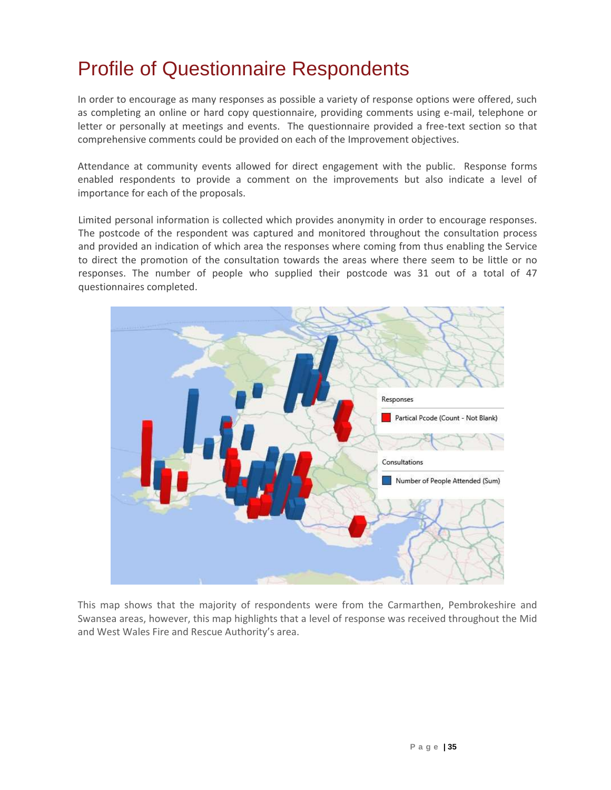## Profile of Questionnaire Respondents

In order to encourage as many responses as possible a variety of response options were offered, such as completing an online or hard copy questionnaire, providing comments using e-mail, telephone or letter or personally at meetings and events. The questionnaire provided a free-text section so that comprehensive comments could be provided on each of the Improvement objectives.

Attendance at community events allowed for direct engagement with the public. Response forms enabled respondents to provide a comment on the improvements but also indicate a level of importance for each of the proposals.

Limited personal information is collected which provides anonymity in order to encourage responses. The postcode of the respondent was captured and monitored throughout the consultation process and provided an indication of which area the responses where coming from thus enabling the Service to direct the promotion of the consultation towards the areas where there seem to be little or no responses. The number of people who supplied their postcode was 31 out of a total of 47 questionnaires completed.



This map shows that the majority of respondents were from the Carmarthen, Pembrokeshire and Swansea areas, however, this map highlights that a level of response was received throughout the Mid and West Wales Fire and Rescue Authority's area.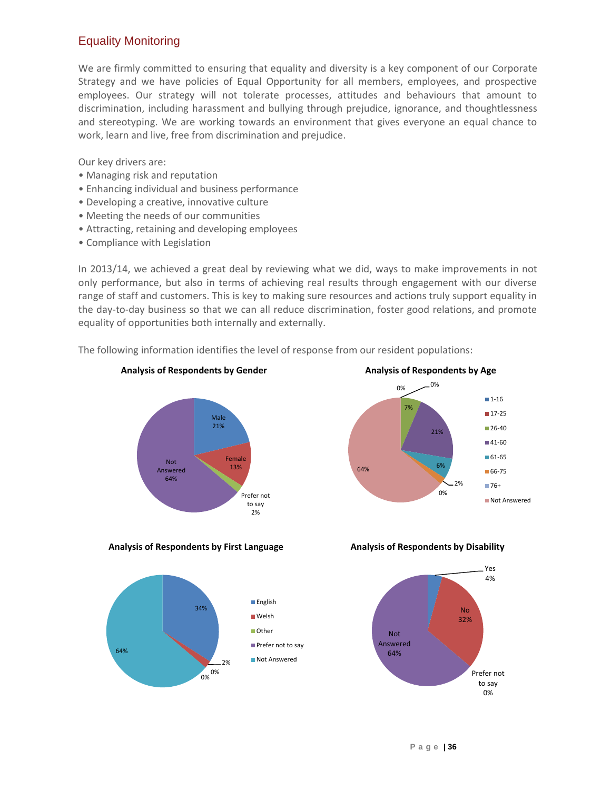## Equality Monitoring

We are firmly committed to ensuring that equality and diversity is a key component of our Corporate Strategy and we have policies of Equal Opportunity for all members, employees, and prospective employees. Our strategy will not tolerate processes, attitudes and behaviours that amount to discrimination, including harassment and bullying through prejudice, ignorance, and thoughtlessness and stereotyping. We are working towards an environment that gives everyone an equal chance to work, learn and live, free from discrimination and prejudice.

Our key drivers are:

- Managing risk and reputation
- Enhancing individual and business performance
- Developing a creative, innovative culture
- Meeting the needs of our communities
- Attracting, retaining and developing employees
- Compliance with Legislation

In 2013/14, we achieved a great deal by reviewing what we did, ways to make improvements in not only performance, but also in terms of achieving real results through engagement with our diverse range of staff and customers. This is key to making sure resources and actions truly support equality in the day-to-day business so that we can all reduce discrimination, foster good relations, and promote equality of opportunities both internally and externally.

The following information identifies the level of response from our resident populations:



**Analysis of Respondents by First Language** 





 $0\%$   $-0\%$ 

**Analysis of Respondents by Age**

21%

6%

 $20/$ 0%

 $1-16$  $17-25$  $126-40$  $141-60$ 61-65 66-75  $-76+$ 

Not Answered

7%

64%

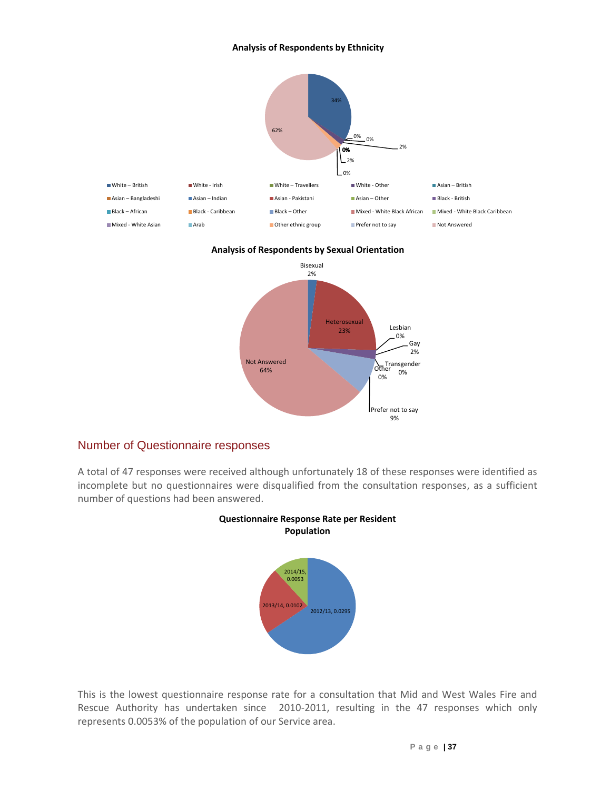#### **Analysis of Respondents by Ethnicity**



#### **Analysis of Respondents by Sexual Orientation**



### Number of Questionnaire responses

A total of 47 responses were received although unfortunately 18 of these responses were identified as incomplete but no questionnaires were disqualified from the consultation responses, as a sufficient number of questions had been answered.





This is the lowest questionnaire response rate for a consultation that Mid and West Wales Fire and Rescue Authority has undertaken since 2010-2011, resulting in the 47 responses which only represents 0.0053% of the population of our Service area.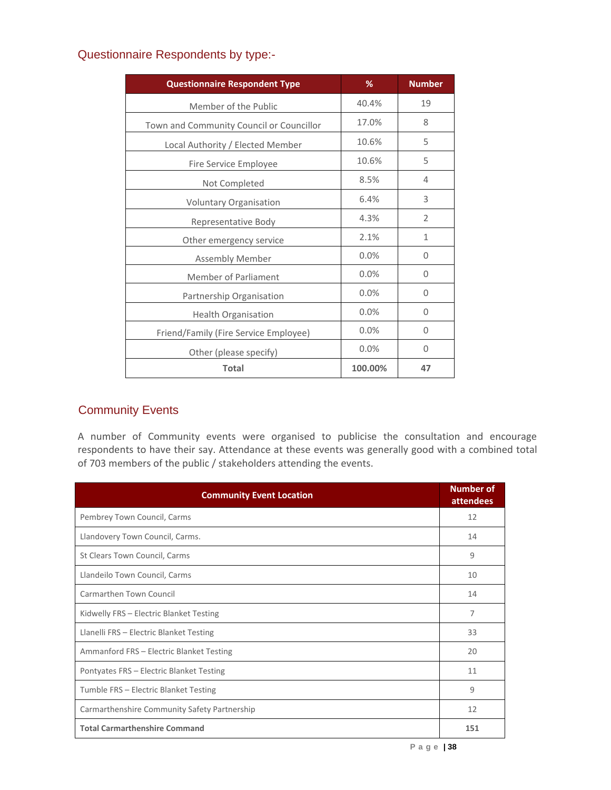| <b>Questionnaire Respondent Type</b>     | %       | <b>Number</b>  |
|------------------------------------------|---------|----------------|
| Member of the Public                     | 40.4%   | 19             |
| Town and Community Council or Councillor | 17.0%   | 8              |
| Local Authority / Elected Member         | 10.6%   | 5              |
| Fire Service Employee                    | 10.6%   | 5              |
| Not Completed                            | 8.5%    | 4              |
| Voluntary Organisation                   | 6.4%    | 3              |
| Representative Body                      | 4.3%    | $\overline{2}$ |
| Other emergency service                  | 2.1%    | $\mathbf{1}$   |
| <b>Assembly Member</b>                   | 0.0%    | 0              |
| Member of Parliament                     | 0.0%    | $\Omega$       |
| Partnership Organisation                 | 0.0%    | $\Omega$       |
| Health Organisation                      | 0.0%    | $\Omega$       |
| Friend/Family (Fire Service Employee)    | 0.0%    | $\Omega$       |
| Other (please specify)                   | 0.0%    | 0              |
| <b>Total</b>                             | 100.00% | 47             |

### Questionnaire Respondents by type:-

## Community Events

A number of Community events were organised to publicise the consultation and encourage respondents to have their say. Attendance at these events was generally good with a combined total of 703 members of the public / stakeholders attending the events.

| <b>Community Event Location</b>              | <b>Number of</b><br><b>attendees</b> |
|----------------------------------------------|--------------------------------------|
| Pembrey Town Council, Carms                  | 12                                   |
| Llandovery Town Council, Carms.              | 14                                   |
| St Clears Town Council, Carms                | 9                                    |
| Llandeilo Town Council, Carms                | 10                                   |
| Carmarthen Town Council                      | 14                                   |
| Kidwelly FRS - Electric Blanket Testing      | 7                                    |
| Llanelli FRS - Electric Blanket Testing      | 33                                   |
| Ammanford FRS - Electric Blanket Testing     | 20                                   |
| Pontyates FRS - Electric Blanket Testing     | 11                                   |
| Tumble FRS - Electric Blanket Testing        | 9                                    |
| Carmarthenshire Community Safety Partnership | 12                                   |
| <b>Total Carmarthenshire Command</b>         | 151                                  |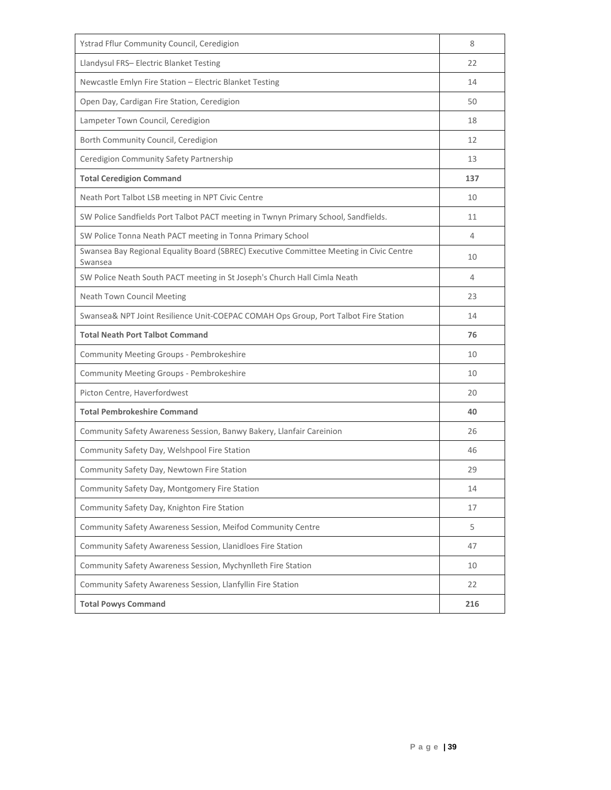| Ystrad Fflur Community Council, Ceredigion                                                         | 8   |
|----------------------------------------------------------------------------------------------------|-----|
| Llandysul FRS- Electric Blanket Testing                                                            | 22  |
| Newcastle Emlyn Fire Station - Electric Blanket Testing                                            | 14  |
| Open Day, Cardigan Fire Station, Ceredigion                                                        | 50  |
| Lampeter Town Council, Ceredigion                                                                  | 18  |
| Borth Community Council, Ceredigion                                                                | 12  |
| Ceredigion Community Safety Partnership                                                            | 13  |
| <b>Total Ceredigion Command</b>                                                                    | 137 |
| Neath Port Talbot LSB meeting in NPT Civic Centre                                                  | 10  |
| SW Police Sandfields Port Talbot PACT meeting in Twnyn Primary School, Sandfields.                 | 11  |
| SW Police Tonna Neath PACT meeting in Tonna Primary School                                         | 4   |
| Swansea Bay Regional Equality Board (SBREC) Executive Committee Meeting in Civic Centre<br>Swansea | 10  |
| SW Police Neath South PACT meeting in St Joseph's Church Hall Cimla Neath                          | 4   |
| Neath Town Council Meeting                                                                         | 23  |
| Swansea& NPT Joint Resilience Unit-COEPAC COMAH Ops Group, Port Talbot Fire Station                | 14  |
| <b>Total Neath Port Talbot Command</b>                                                             | 76  |
| Community Meeting Groups - Pembrokeshire                                                           | 10  |
| Community Meeting Groups - Pembrokeshire                                                           | 10  |
| Picton Centre, Haverfordwest                                                                       | 20  |
| <b>Total Pembrokeshire Command</b>                                                                 | 40  |
| Community Safety Awareness Session, Banwy Bakery, Llanfair Careinion                               | 26  |
| Community Safety Day, Welshpool Fire Station                                                       | 46  |
| Community Safety Day, Newtown Fire Station                                                         | 29  |
| Community Safety Day, Montgomery Fire Station                                                      | 14  |
| Community Safety Day, Knighton Fire Station                                                        | 17  |
| Community Safety Awareness Session, Meifod Community Centre                                        | 5   |
| Community Safety Awareness Session, Llanidloes Fire Station                                        | 47  |
| Community Safety Awareness Session, Mychynlleth Fire Station                                       | 10  |
| Community Safety Awareness Session, Llanfyllin Fire Station                                        | 22  |
| <b>Total Powys Command</b>                                                                         | 216 |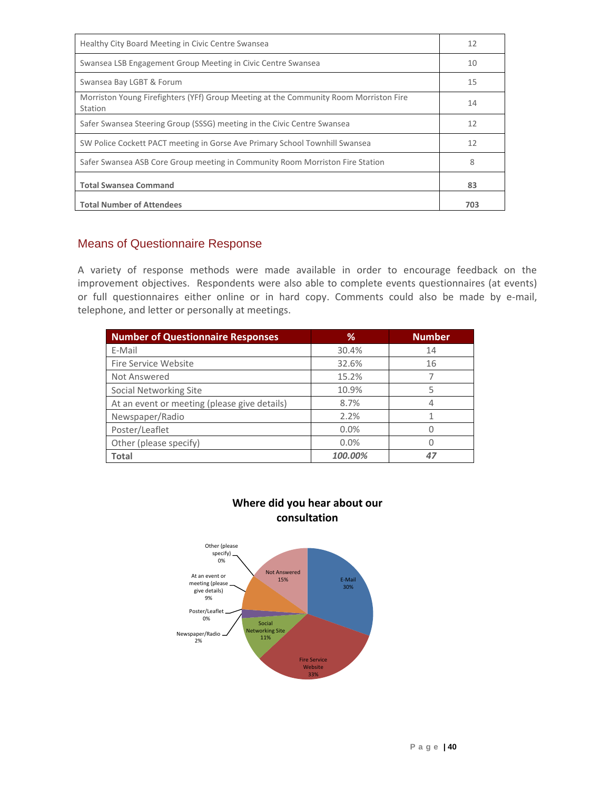| Healthy City Board Meeting in Civic Centre Swansea                                               | 12  |
|--------------------------------------------------------------------------------------------------|-----|
| Swansea LSB Engagement Group Meeting in Civic Centre Swansea                                     | 10  |
| Swansea Bay LGBT & Forum                                                                         | 15  |
| Morriston Young Firefighters (YFf) Group Meeting at the Community Room Morriston Fire<br>Station | 14  |
| Safer Swansea Steering Group (SSSG) meeting in the Civic Centre Swansea                          | 12  |
| SW Police Cockett PACT meeting in Gorse Ave Primary School Townhill Swansea                      | 12  |
| Safer Swansea ASB Core Group meeting in Community Room Morriston Fire Station                    | 8   |
| <b>Total Swansea Command</b>                                                                     | 83  |
| <b>Total Number of Attendees</b>                                                                 | 703 |

## Means of Questionnaire Response

A variety of response methods were made available in order to encourage feedback on the improvement objectives. Respondents were also able to complete events questionnaires (at events) or full questionnaires either online or in hard copy. Comments could also be made by e-mail, telephone, and letter or personally at meetings.

| <b>Number of Questionnaire Responses</b>     | %       | <b>Number</b> |
|----------------------------------------------|---------|---------------|
| E-Mail                                       | 30.4%   | 14            |
| Fire Service Website                         | 32.6%   | 16            |
| Not Answered                                 | 15.2%   |               |
| Social Networking Site                       | 10.9%   | 5             |
| At an event or meeting (please give details) | 8.7%    | 4             |
| Newspaper/Radio                              | 2.2%    |               |
| Poster/Leaflet                               | 0.0%    |               |
| Other (please specify)                       | 0.0%    |               |
| <b>Total</b>                                 | 100.00% | 47            |



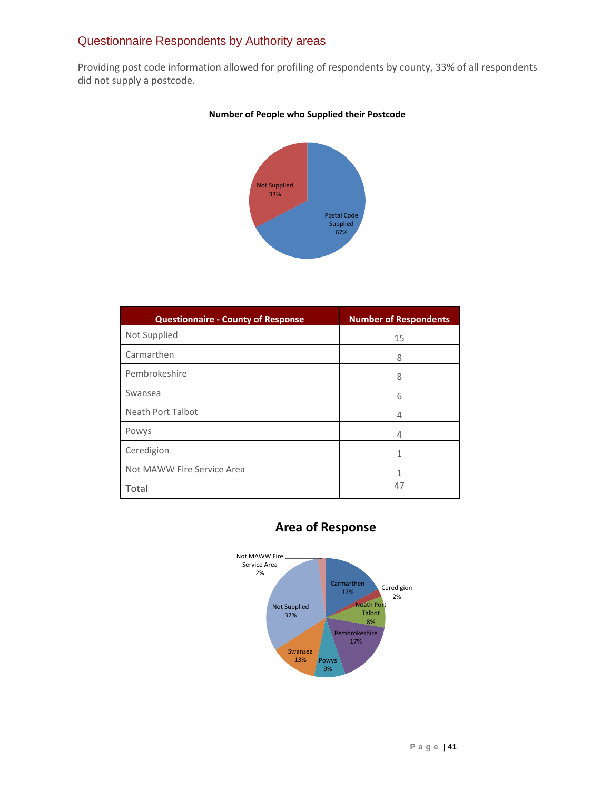## Questionnaire Respondents by Authority areas

Providing post code information allowed for profiling of respondents by county, 33% of all respondents did not supply a postcode.



#### **Number of People who Supplied their Postcode**

| <b>Questionnaire - County of Response</b> | <b>Number of Respondents</b> |
|-------------------------------------------|------------------------------|
| Not Supplied                              | 15                           |
| Carmarthen                                | 8                            |
| Pembrokeshire                             | 8                            |
| Swansea                                   | 6                            |
| Neath Port Talbot                         | 4                            |
| Powys                                     | 4                            |
| Ceredigion                                | 1                            |
| Not MAWW Fire Service Area                | 1                            |
| Total                                     | 47                           |

## **Area of Response**

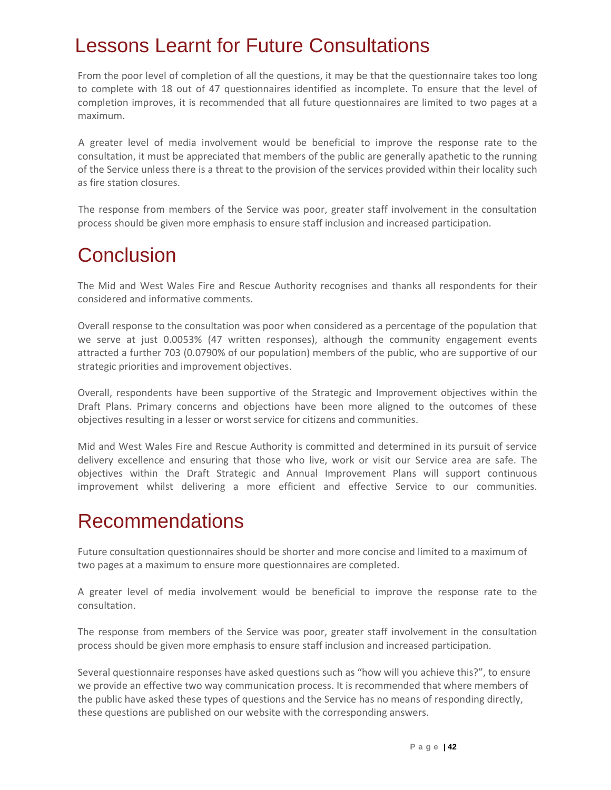## <span id="page-42-0"></span>Lessons Learnt for Future Consultations

From the poor level of completion of all the questions, it may be that the questionnaire takes too long to complete with 18 out of 47 questionnaires identified as incomplete. To ensure that the level of completion improves, it is recommended that all future questionnaires are limited to two pages at a maximum.

A greater level of media involvement would be beneficial to improve the response rate to the consultation, it must be appreciated that members of the public are generally apathetic to the running of the Service unless there is a threat to the provision of the services provided within their locality such as fire station closures.

The response from members of the Service was poor, greater staff involvement in the consultation process should be given more emphasis to ensure staff inclusion and increased participation.

## Conclusion

The Mid and West Wales Fire and Rescue Authority recognises and thanks all respondents for their considered and informative comments.

Overall response to the consultation was poor when considered as a percentage of the population that we serve at just 0.0053% (47 written responses), although the community engagement events attracted a further 703 (0.0790% of our population) members of the public, who are supportive of our strategic priorities and improvement objectives.

Overall, respondents have been supportive of the Strategic and Improvement objectives within the Draft Plans. Primary concerns and objections have been more aligned to the outcomes of these objectives resulting in a lesser or worst service for citizens and communities.

Mid and West Wales Fire and Rescue Authority is committed and determined in its pursuit of service delivery excellence and ensuring that those who live, work or visit our Service area are safe. The objectives within the Draft Strategic and Annual Improvement Plans will support continuous improvement whilst delivering a more efficient and effective Service to our communities.

## <span id="page-42-1"></span>Recommendations

Future consultation questionnaires should be shorter and more concise and limited to a maximum of two pages at a maximum to ensure more questionnaires are completed.

A greater level of media involvement would be beneficial to improve the response rate to the consultation.

The response from members of the Service was poor, greater staff involvement in the consultation process should be given more emphasis to ensure staff inclusion and increased participation.

Several questionnaire responses have asked questions such as "how will you achieve this?", to ensure we provide an effective two way communication process. It is recommended that where members of the public have asked these types of questions and the Service has no means of responding directly, these questions are published on our website with the corresponding answers.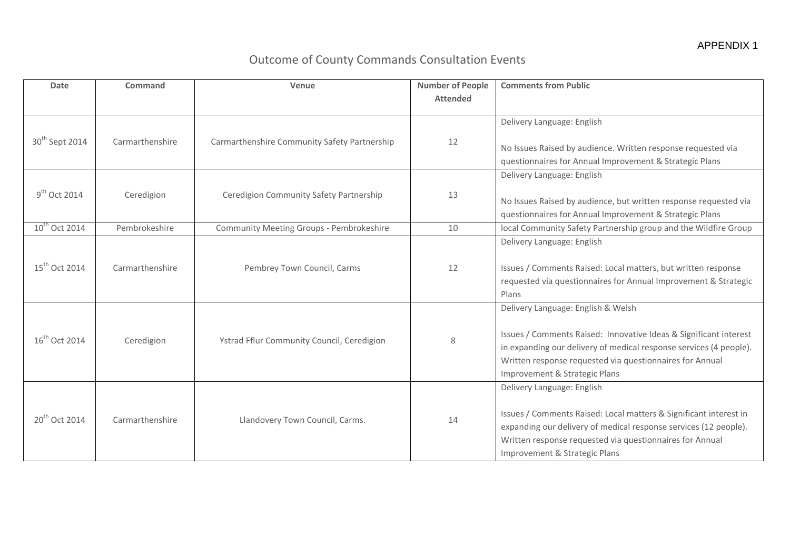## Outcome of County Commands Consultation Events

| <b>Date</b>                | Command         | Venue                                        | <b>Number of People</b><br><b>Attended</b> | <b>Comments from Public</b>                                                                                                                                                                                                                                                |
|----------------------------|-----------------|----------------------------------------------|--------------------------------------------|----------------------------------------------------------------------------------------------------------------------------------------------------------------------------------------------------------------------------------------------------------------------------|
| 30 <sup>th</sup> Sept 2014 | Carmarthenshire | Carmarthenshire Community Safety Partnership | 12                                         | Delivery Language: English<br>No Issues Raised by audience. Written response requested via<br>questionnaires for Annual Improvement & Strategic Plans                                                                                                                      |
| $9th$ Oct 2014             | Ceredigion      | Ceredigion Community Safety Partnership      | 13                                         | Delivery Language: English<br>No Issues Raised by audience, but written response requested via<br>questionnaires for Annual Improvement & Strategic Plans                                                                                                                  |
| 10 <sup>th</sup> Oct 2014  | Pembrokeshire   | Community Meeting Groups - Pembrokeshire     | 10                                         | local Community Safety Partnership group and the Wildfire Group                                                                                                                                                                                                            |
| $15^{th}$ Oct 2014         | Carmarthenshire | Pembrey Town Council, Carms                  | 12                                         | Delivery Language: English<br>Issues / Comments Raised: Local matters, but written response<br>requested via questionnaires for Annual Improvement & Strategic<br>Plans                                                                                                    |
| $16^{th}$ Oct 2014         | Ceredigion      | Ystrad Fflur Community Council, Ceredigion   | 8                                          | Delivery Language: English & Welsh<br>Issues / Comments Raised: Innovative Ideas & Significant interest<br>in expanding our delivery of medical response services (4 people).<br>Written response requested via questionnaires for Annual<br>Improvement & Strategic Plans |
| 20 <sup>th</sup> Oct 2014  | Carmarthenshire | Llandovery Town Council, Carms.              | 14                                         | Delivery Language: English<br>Issues / Comments Raised: Local matters & Significant interest in<br>expanding our delivery of medical response services (12 people).<br>Written response requested via questionnaires for Annual<br>Improvement & Strategic Plans           |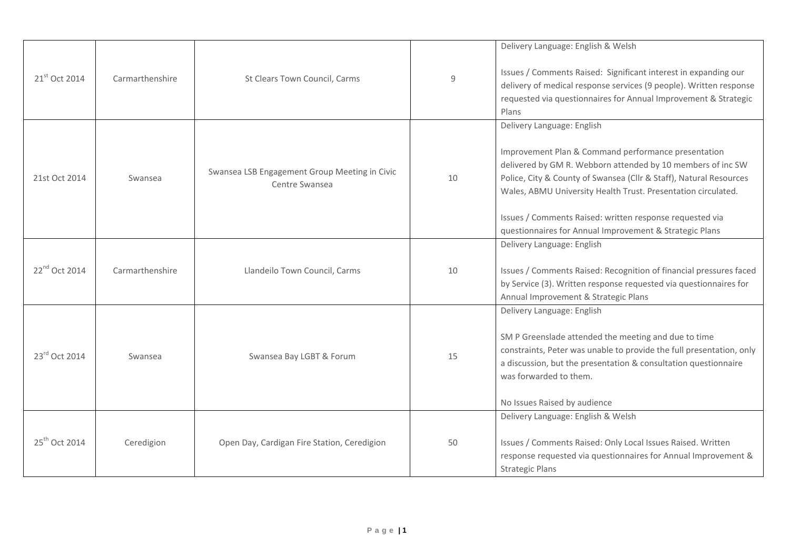|                           |                 |                                                                 |    | Delivery Language: English & Welsh                                                                                                                                                                                                                                                                                                                                                                             |
|---------------------------|-----------------|-----------------------------------------------------------------|----|----------------------------------------------------------------------------------------------------------------------------------------------------------------------------------------------------------------------------------------------------------------------------------------------------------------------------------------------------------------------------------------------------------------|
| 21st Oct 2014             | Carmarthenshire | St Clears Town Council, Carms                                   | 9  | Issues / Comments Raised: Significant interest in expanding our<br>delivery of medical response services (9 people). Written response<br>requested via questionnaires for Annual Improvement & Strategic<br>Plans                                                                                                                                                                                              |
| 21st Oct 2014             | Swansea         | Swansea LSB Engagement Group Meeting in Civic<br>Centre Swansea | 10 | Delivery Language: English<br>Improvement Plan & Command performance presentation<br>delivered by GM R. Webborn attended by 10 members of inc SW<br>Police, City & County of Swansea (Cllr & Staff), Natural Resources<br>Wales, ABMU University Health Trust. Presentation circulated.<br>Issues / Comments Raised: written response requested via<br>questionnaires for Annual Improvement & Strategic Plans |
| 22 <sup>nd</sup> Oct 2014 | Carmarthenshire | Llandeilo Town Council, Carms                                   | 10 | Delivery Language: English<br>Issues / Comments Raised: Recognition of financial pressures faced<br>by Service (3). Written response requested via questionnaires for<br>Annual Improvement & Strategic Plans                                                                                                                                                                                                  |
| 23rd Oct 2014             | Swansea         | Swansea Bay LGBT & Forum                                        | 15 | Delivery Language: English<br>SM P Greenslade attended the meeting and due to time<br>constraints, Peter was unable to provide the full presentation, only<br>a discussion, but the presentation & consultation questionnaire<br>was forwarded to them.<br>No Issues Raised by audience                                                                                                                        |
| 25 <sup>th</sup> Oct 2014 | Ceredigion      | Open Day, Cardigan Fire Station, Ceredigion                     | 50 | Delivery Language: English & Welsh<br>Issues / Comments Raised: Only Local Issues Raised. Written<br>response requested via questionnaires for Annual Improvement &<br><b>Strategic Plans</b>                                                                                                                                                                                                                  |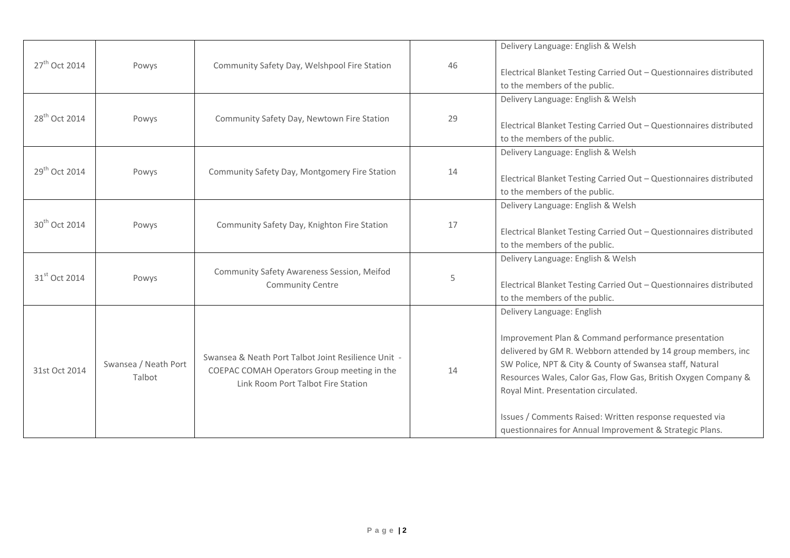|                           |                                |                                                                                                                                          |    | Delivery Language: English & Welsh                                                                                                                                                                                                                                                                                                                                                                                                              |
|---------------------------|--------------------------------|------------------------------------------------------------------------------------------------------------------------------------------|----|-------------------------------------------------------------------------------------------------------------------------------------------------------------------------------------------------------------------------------------------------------------------------------------------------------------------------------------------------------------------------------------------------------------------------------------------------|
| 27 <sup>th</sup> Oct 2014 | Powys                          | Community Safety Day, Welshpool Fire Station                                                                                             | 46 | Electrical Blanket Testing Carried Out - Questionnaires distributed<br>to the members of the public.                                                                                                                                                                                                                                                                                                                                            |
| 28 <sup>th</sup> Oct 2014 | Powys                          | Community Safety Day, Newtown Fire Station                                                                                               | 29 | Delivery Language: English & Welsh<br>Electrical Blanket Testing Carried Out - Questionnaires distributed<br>to the members of the public.                                                                                                                                                                                                                                                                                                      |
| 29 <sup>th</sup> Oct 2014 | Powys                          | Community Safety Day, Montgomery Fire Station                                                                                            | 14 | Delivery Language: English & Welsh<br>Electrical Blanket Testing Carried Out - Questionnaires distributed<br>to the members of the public.                                                                                                                                                                                                                                                                                                      |
| 30 <sup>th</sup> Oct 2014 | Powys                          | Community Safety Day, Knighton Fire Station                                                                                              | 17 | Delivery Language: English & Welsh<br>Electrical Blanket Testing Carried Out - Questionnaires distributed<br>to the members of the public.                                                                                                                                                                                                                                                                                                      |
| 31 <sup>st</sup> Oct 2014 | Powys                          | Community Safety Awareness Session, Meifod<br><b>Community Centre</b>                                                                    | 5  | Delivery Language: English & Welsh<br>Electrical Blanket Testing Carried Out - Questionnaires distributed<br>to the members of the public.                                                                                                                                                                                                                                                                                                      |
| 31st Oct 2014             | Swansea / Neath Port<br>Talbot | Swansea & Neath Port Talbot Joint Resilience Unit -<br>COEPAC COMAH Operators Group meeting in the<br>Link Room Port Talbot Fire Station | 14 | Delivery Language: English<br>Improvement Plan & Command performance presentation<br>delivered by GM R. Webborn attended by 14 group members, inc<br>SW Police, NPT & City & County of Swansea staff, Natural<br>Resources Wales, Calor Gas, Flow Gas, British Oxygen Company &<br>Royal Mint. Presentation circulated.<br>Issues / Comments Raised: Written response requested via<br>questionnaires for Annual Improvement & Strategic Plans. |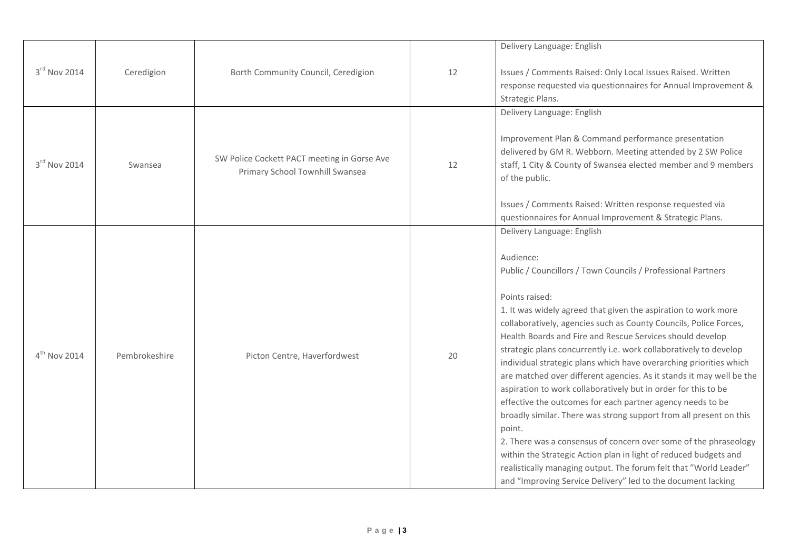|                   |               |                                                                                |    | Delivery Language: English                                                                                                                                                                                                                                                                                                                                                                                                                                                                                                                                                                                                                                                                                                                                                                                                                                                                                                                                                                                                                    |
|-------------------|---------------|--------------------------------------------------------------------------------|----|-----------------------------------------------------------------------------------------------------------------------------------------------------------------------------------------------------------------------------------------------------------------------------------------------------------------------------------------------------------------------------------------------------------------------------------------------------------------------------------------------------------------------------------------------------------------------------------------------------------------------------------------------------------------------------------------------------------------------------------------------------------------------------------------------------------------------------------------------------------------------------------------------------------------------------------------------------------------------------------------------------------------------------------------------|
| 3rd Nov 2014      | Ceredigion    | Borth Community Council, Ceredigion                                            | 12 | Issues / Comments Raised: Only Local Issues Raised. Written<br>response requested via questionnaires for Annual Improvement &<br>Strategic Plans.                                                                                                                                                                                                                                                                                                                                                                                                                                                                                                                                                                                                                                                                                                                                                                                                                                                                                             |
| 3rd Nov 2014      | Swansea       | SW Police Cockett PACT meeting in Gorse Ave<br>Primary School Townhill Swansea | 12 | Delivery Language: English<br>Improvement Plan & Command performance presentation<br>delivered by GM R. Webborn. Meeting attended by 2 SW Police<br>staff, 1 City & County of Swansea elected member and 9 members<br>of the public.<br>Issues / Comments Raised: Written response requested via<br>questionnaires for Annual Improvement & Strategic Plans.                                                                                                                                                                                                                                                                                                                                                                                                                                                                                                                                                                                                                                                                                  |
| $4^{th}$ Nov 2014 | Pembrokeshire | Picton Centre, Haverfordwest                                                   | 20 | Delivery Language: English<br>Audience:<br>Public / Councillors / Town Councils / Professional Partners<br>Points raised:<br>1. It was widely agreed that given the aspiration to work more<br>collaboratively, agencies such as County Councils, Police Forces,<br>Health Boards and Fire and Rescue Services should develop<br>strategic plans concurrently i.e. work collaboratively to develop<br>individual strategic plans which have overarching priorities which<br>are matched over different agencies. As it stands it may well be the<br>aspiration to work collaboratively but in order for this to be<br>effective the outcomes for each partner agency needs to be<br>broadly similar. There was strong support from all present on this<br>point.<br>2. There was a consensus of concern over some of the phraseology<br>within the Strategic Action plan in light of reduced budgets and<br>realistically managing output. The forum felt that "World Leader"<br>and "Improving Service Delivery" led to the document lacking |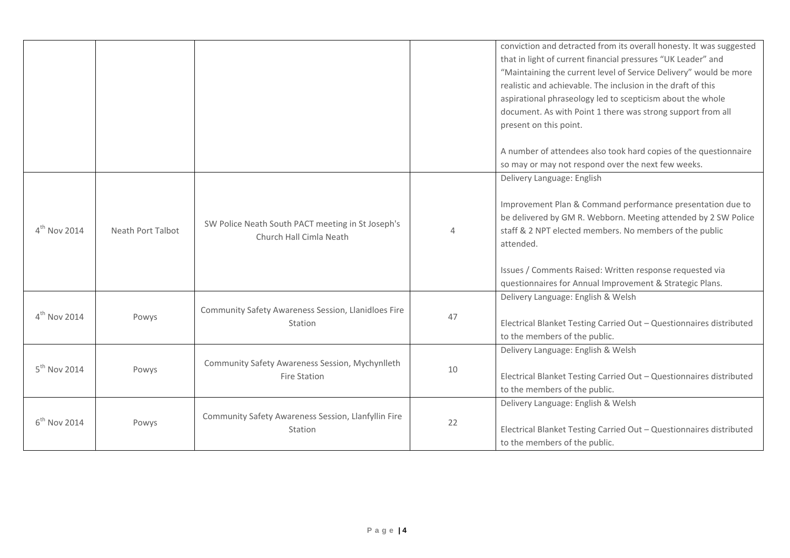|                          |                   |                                                                              |          | conviction and detracted from its overall honesty. It was suggested<br>that in light of current financial pressures "UK Leader" and<br>"Maintaining the current level of Service Delivery" would be more<br>realistic and achievable. The inclusion in the draft of this<br>aspirational phraseology led to scepticism about the whole<br>document. As with Point 1 there was strong support from all<br>present on this point.<br>A number of attendees also took hard copies of the questionnaire<br>so may or may not respond over the next few weeks. |
|--------------------------|-------------------|------------------------------------------------------------------------------|----------|-----------------------------------------------------------------------------------------------------------------------------------------------------------------------------------------------------------------------------------------------------------------------------------------------------------------------------------------------------------------------------------------------------------------------------------------------------------------------------------------------------------------------------------------------------------|
| $4th$ Nov 2014           | Neath Port Talbot | SW Police Neath South PACT meeting in St Joseph's<br>Church Hall Cimla Neath | $\Delta$ | Delivery Language: English<br>Improvement Plan & Command performance presentation due to<br>be delivered by GM R. Webborn. Meeting attended by 2 SW Police<br>staff & 2 NPT elected members. No members of the public<br>attended.<br>Issues / Comments Raised: Written response requested via<br>questionnaires for Annual Improvement & Strategic Plans.                                                                                                                                                                                                |
| $4th$ Nov 2014           | Powys             | Community Safety Awareness Session, Llanidloes Fire<br>Station               | 47       | Delivery Language: English & Welsh<br>Electrical Blanket Testing Carried Out - Questionnaires distributed<br>to the members of the public.                                                                                                                                                                                                                                                                                                                                                                                                                |
| $5^{\text{th}}$ Nov 2014 | Powys             | Community Safety Awareness Session, Mychynlleth<br><b>Fire Station</b>       | 10       | Delivery Language: English & Welsh<br>Electrical Blanket Testing Carried Out - Questionnaires distributed<br>to the members of the public.                                                                                                                                                                                                                                                                                                                                                                                                                |
| $6th$ Nov 2014           | Powys             | Community Safety Awareness Session, Llanfyllin Fire<br>Station               | 22       | Delivery Language: English & Welsh<br>Electrical Blanket Testing Carried Out - Questionnaires distributed<br>to the members of the public.                                                                                                                                                                                                                                                                                                                                                                                                                |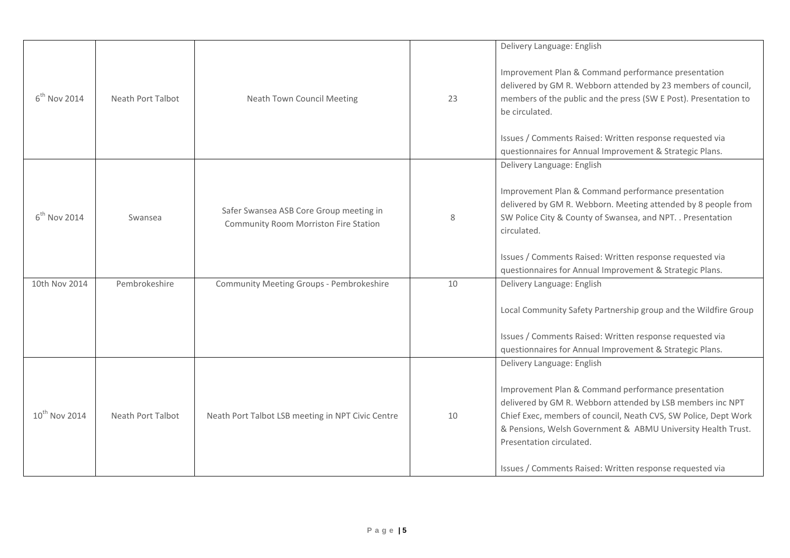| $6th$ Nov 2014            | Neath Port Talbot | Neath Town Council Meeting                                                       | 23 | Delivery Language: English<br>Improvement Plan & Command performance presentation<br>delivered by GM R. Webborn attended by 23 members of council,<br>members of the public and the press (SW E Post). Presentation to<br>be circulated.<br>Issues / Comments Raised: Written response requested via<br>questionnaires for Annual Improvement & Strategic Plans.           |
|---------------------------|-------------------|----------------------------------------------------------------------------------|----|----------------------------------------------------------------------------------------------------------------------------------------------------------------------------------------------------------------------------------------------------------------------------------------------------------------------------------------------------------------------------|
| $6^{th}$ Nov 2014         | Swansea           | Safer Swansea ASB Core Group meeting in<br>Community Room Morriston Fire Station | 8  | Delivery Language: English<br>Improvement Plan & Command performance presentation<br>delivered by GM R. Webborn. Meeting attended by 8 people from<br>SW Police City & County of Swansea, and NPT. . Presentation<br>circulated.<br>Issues / Comments Raised: Written response requested via<br>questionnaires for Annual Improvement & Strategic Plans.                   |
| 10th Nov 2014             | Pembrokeshire     | Community Meeting Groups - Pembrokeshire                                         | 10 | Delivery Language: English<br>Local Community Safety Partnership group and the Wildfire Group<br>Issues / Comments Raised: Written response requested via<br>questionnaires for Annual Improvement & Strategic Plans.                                                                                                                                                      |
| 10 <sup>th</sup> Nov 2014 | Neath Port Talbot | Neath Port Talbot LSB meeting in NPT Civic Centre                                | 10 | Delivery Language: English<br>Improvement Plan & Command performance presentation<br>delivered by GM R. Webborn attended by LSB members inc NPT<br>Chief Exec, members of council, Neath CVS, SW Police, Dept Work<br>& Pensions, Welsh Government & ABMU University Health Trust.<br>Presentation circulated.<br>Issues / Comments Raised: Written response requested via |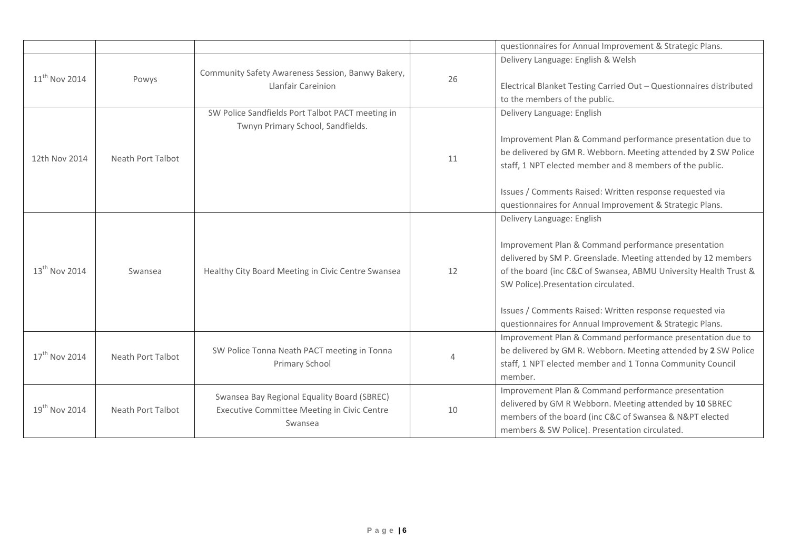|                           |                   |                                                                                                       |    | questionnaires for Annual Improvement & Strategic Plans.                                                                                                                                                                                                                                                                                                                               |
|---------------------------|-------------------|-------------------------------------------------------------------------------------------------------|----|----------------------------------------------------------------------------------------------------------------------------------------------------------------------------------------------------------------------------------------------------------------------------------------------------------------------------------------------------------------------------------------|
| $11^{th}$ Nov 2014        | Powys             | Community Safety Awareness Session, Banwy Bakery,<br>Llanfair Careinion                               | 26 | Delivery Language: English & Welsh<br>Electrical Blanket Testing Carried Out - Questionnaires distributed<br>to the members of the public.                                                                                                                                                                                                                                             |
| 12th Nov 2014             | Neath Port Talbot | SW Police Sandfields Port Talbot PACT meeting in<br>Twnyn Primary School, Sandfields.                 | 11 | Delivery Language: English<br>Improvement Plan & Command performance presentation due to<br>be delivered by GM R. Webborn. Meeting attended by 2 SW Police<br>staff, 1 NPT elected member and 8 members of the public.<br>Issues / Comments Raised: Written response requested via<br>questionnaires for Annual Improvement & Strategic Plans.                                         |
| $13^{th}$ Nov 2014        | Swansea           | Healthy City Board Meeting in Civic Centre Swansea                                                    | 12 | Delivery Language: English<br>Improvement Plan & Command performance presentation<br>delivered by SM P. Greenslade. Meeting attended by 12 members<br>of the board (inc C&C of Swansea, ABMU University Health Trust &<br>SW Police). Presentation circulated.<br>Issues / Comments Raised: Written response requested via<br>questionnaires for Annual Improvement & Strategic Plans. |
| $17^{\text{th}}$ Nov 2014 | Neath Port Talbot | SW Police Tonna Neath PACT meeting in Tonna<br>Primary School                                         |    | Improvement Plan & Command performance presentation due to<br>be delivered by GM R. Webborn. Meeting attended by 2 SW Police<br>staff, 1 NPT elected member and 1 Tonna Community Council<br>member.                                                                                                                                                                                   |
| $19^{th}$ Nov 2014        | Neath Port Talbot | Swansea Bay Regional Equality Board (SBREC)<br>Executive Committee Meeting in Civic Centre<br>Swansea | 10 | Improvement Plan & Command performance presentation<br>delivered by GM R Webborn. Meeting attended by 10 SBREC<br>members of the board (inc C&C of Swansea & N&PT elected<br>members & SW Police). Presentation circulated.                                                                                                                                                            |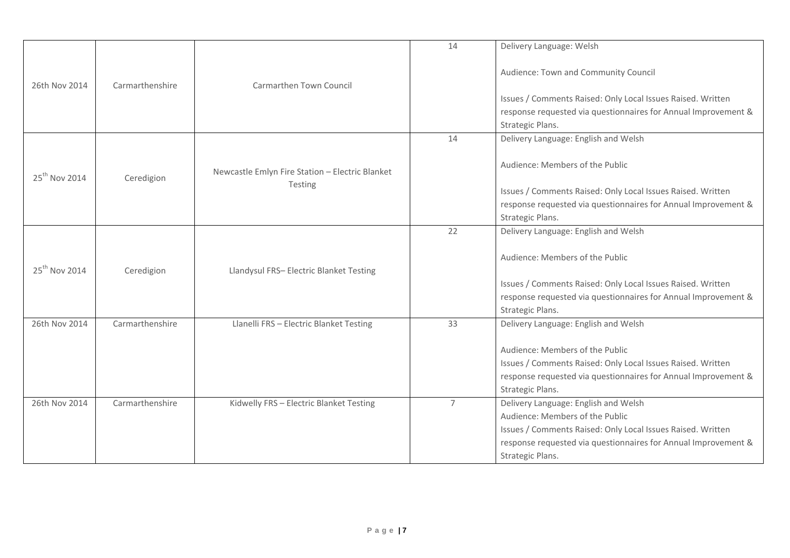|                           |                 |                                                 | 14             | Delivery Language: Welsh                                                                                                                                                             |
|---------------------------|-----------------|-------------------------------------------------|----------------|--------------------------------------------------------------------------------------------------------------------------------------------------------------------------------------|
| 26th Nov 2014             | Carmarthenshire | Carmarthen Town Council                         |                | Audience: Town and Community Council                                                                                                                                                 |
|                           |                 |                                                 |                | Issues / Comments Raised: Only Local Issues Raised. Written                                                                                                                          |
|                           |                 |                                                 |                | response requested via questionnaires for Annual Improvement &                                                                                                                       |
|                           |                 |                                                 |                | Strategic Plans.                                                                                                                                                                     |
|                           |                 |                                                 | 14             | Delivery Language: English and Welsh                                                                                                                                                 |
| 25 <sup>th</sup> Nov 2014 | Ceredigion      | Newcastle Emlyn Fire Station - Electric Blanket |                | Audience: Members of the Public                                                                                                                                                      |
|                           |                 | Testing                                         |                | Issues / Comments Raised: Only Local Issues Raised. Written                                                                                                                          |
|                           |                 |                                                 |                | response requested via questionnaires for Annual Improvement &                                                                                                                       |
|                           |                 |                                                 |                | Strategic Plans.                                                                                                                                                                     |
|                           |                 |                                                 | 22             | Delivery Language: English and Welsh                                                                                                                                                 |
| 25 <sup>th</sup> Nov 2014 | Ceredigion      | Llandysul FRS- Electric Blanket Testing         |                | Audience: Members of the Public                                                                                                                                                      |
|                           |                 |                                                 |                | Issues / Comments Raised: Only Local Issues Raised. Written                                                                                                                          |
|                           |                 |                                                 |                | response requested via questionnaires for Annual Improvement &                                                                                                                       |
|                           |                 |                                                 |                | Strategic Plans.                                                                                                                                                                     |
| 26th Nov 2014             | Carmarthenshire | Llanelli FRS - Electric Blanket Testing         | 33             | Delivery Language: English and Welsh                                                                                                                                                 |
|                           |                 |                                                 |                | Audience: Members of the Public<br>Issues / Comments Raised: Only Local Issues Raised. Written<br>response requested via questionnaires for Annual Improvement &<br>Strategic Plans. |
| 26th Nov 2014             | Carmarthenshire | Kidwelly FRS - Electric Blanket Testing         | $\overline{7}$ | Delivery Language: English and Welsh                                                                                                                                                 |
|                           |                 |                                                 |                | Audience: Members of the Public                                                                                                                                                      |
|                           |                 |                                                 |                | Issues / Comments Raised: Only Local Issues Raised. Written                                                                                                                          |
|                           |                 |                                                 |                |                                                                                                                                                                                      |
|                           |                 |                                                 |                | response requested via questionnaires for Annual Improvement &                                                                                                                       |
|                           |                 |                                                 |                | Strategic Plans.                                                                                                                                                                     |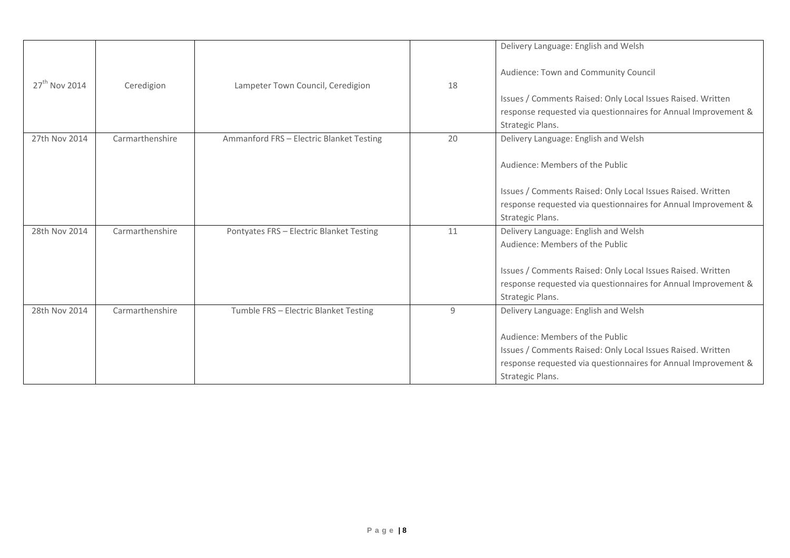|                 |                 |                                          |    | Delivery Language: English and Welsh                           |
|-----------------|-----------------|------------------------------------------|----|----------------------------------------------------------------|
|                 |                 |                                          |    |                                                                |
| $27th$ Nov 2014 |                 |                                          | 18 | Audience: Town and Community Council                           |
|                 | Ceredigion      | Lampeter Town Council, Ceredigion        |    |                                                                |
|                 |                 |                                          |    | Issues / Comments Raised: Only Local Issues Raised. Written    |
|                 |                 |                                          |    | response requested via questionnaires for Annual Improvement & |
|                 |                 |                                          |    | Strategic Plans.                                               |
| 27th Nov 2014   | Carmarthenshire | Ammanford FRS - Electric Blanket Testing | 20 | Delivery Language: English and Welsh                           |
|                 |                 |                                          |    |                                                                |
|                 |                 |                                          |    | Audience: Members of the Public                                |
|                 |                 |                                          |    |                                                                |
|                 |                 |                                          |    | Issues / Comments Raised: Only Local Issues Raised. Written    |
|                 |                 |                                          |    | response requested via questionnaires for Annual Improvement & |
|                 |                 |                                          |    | Strategic Plans.                                               |
| 28th Nov 2014   | Carmarthenshire | Pontyates FRS - Electric Blanket Testing | 11 | Delivery Language: English and Welsh                           |
|                 |                 |                                          |    | Audience: Members of the Public                                |
|                 |                 |                                          |    |                                                                |
|                 |                 |                                          |    | Issues / Comments Raised: Only Local Issues Raised. Written    |
|                 |                 |                                          |    | response requested via questionnaires for Annual Improvement & |
|                 |                 |                                          |    | Strategic Plans.                                               |
| 28th Nov 2014   | Carmarthenshire | Tumble FRS - Electric Blanket Testing    | 9  | Delivery Language: English and Welsh                           |
|                 |                 |                                          |    |                                                                |
|                 |                 |                                          |    | Audience: Members of the Public                                |
|                 |                 |                                          |    | Issues / Comments Raised: Only Local Issues Raised. Written    |
|                 |                 |                                          |    | response requested via questionnaires for Annual Improvement & |
|                 |                 |                                          |    | Strategic Plans.                                               |